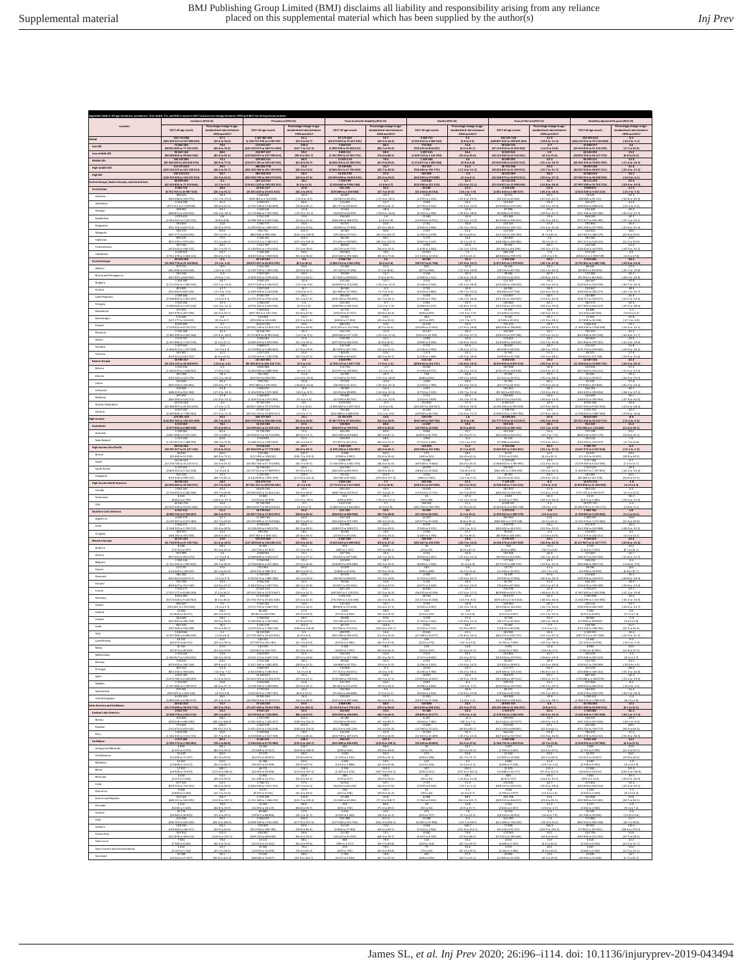|                                               | Incidence (95% UI)                                                                                                                                                                                       |                                                                                                               | Prevalence (15% UI)                                                                  |                                                                                                    | <b>Years lived with disability (95% UI)</b>                                                                                                                              |                                                                               | Deaths (\$5% UI)                                           |                                                                 | Years of the lost (\$5% Ut)                                                                                                                                                                                                                                                                                                                                                                                 |                                                                                                                                   | Disability adjusted life years (95% UI)                                                                                                                                                            |                                                                           |
|-----------------------------------------------|----------------------------------------------------------------------------------------------------------------------------------------------------------------------------------------------------------|---------------------------------------------------------------------------------------------------------------|--------------------------------------------------------------------------------------|----------------------------------------------------------------------------------------------------|--------------------------------------------------------------------------------------------------------------------------------------------------------------------------|-------------------------------------------------------------------------------|------------------------------------------------------------|-----------------------------------------------------------------|-------------------------------------------------------------------------------------------------------------------------------------------------------------------------------------------------------------------------------------------------------------------------------------------------------------------------------------------------------------------------------------------------------------|-----------------------------------------------------------------------------------------------------------------------------------|----------------------------------------------------------------------------------------------------------------------------------------------------------------------------------------------------|---------------------------------------------------------------------------|
|                                               | 2017 all-age counts                                                                                                                                                                                      |                                                                                                               | 2017 all-age count                                                                   |                                                                                                    | 2017 all-age co                                                                                                                                                          |                                                                               | 2017 all-age count                                         |                                                                 | 2017 all-age count                                                                                                                                                                                                                                                                                                                                                                                          |                                                                                                                                   | 2017 all-age counts                                                                                                                                                                                |                                                                           |
| <b>bad</b>                                    | 520 710 28                                                                                                                                                                                               | 1990 and 2017                                                                                                 | 150748136                                                                            | rdised rates bet<br>1990 and 2017                                                                  | 7174.461                                                                                                                                                                 |                                                                               | 445477                                                     | 1990 and 2017                                                   | 10523114                                                                                                                                                                                                                                                                                                                                                                                                    | 1990 and 2017                                                                                                                     | 13 205 51                                                                                                                                                                                          | 1990 and 2017                                                             |
| Low SDI                                       | 03 430 247 to 547 988 635<br>8891884 to 77 185 429                                                                                                                                                       | (44.3 to 50.0)<br>$\frac{(66.8 \text{ to } 74.6)}{88.6}$                                                      | 439 757 976 to 1 587 201                                                             | (59.3 to 62.7)<br>107.7 to 112.1                                                                   | (42073 855 to 75 427 035<br>5 908 508 to 10 058 535<br>9 800 151                                                                                                         | $(49.3 \text{ to } 56.4)$<br>(80.76693.2)                                     | (4 332 010 to 4 585 554<br>(720 525 to 816 602             | [2.0 to 9.5]<br>$(4.5 to 34.1)$<br>$26.4$                       | 188 807 653 to 199 825 464<br>37 124 9 19 to 42 500 101<br>52 835 942                                                                                                                                                                                                                                                                                                                                       | $(-18.9 \text{ to } -11.3)$<br>$(-14.0 to 16.8)$                                                                                  | 236 154 016 to 271 424 80<br>44 443 855 to 51 310 290                                                                                                                                              | $(-10.4 to -1.3)$<br>$\frac{(5.7 + 24.4)}{13.3}$                          |
| Low-middle 5D                                 | 358836 to 39 666 566<br>100 192 881                                                                                                                                                                      | 5.01092.4                                                                                                     | 3838097 to 247 298 91                                                                | 19 to 101.7                                                                                        | 361 900 to 12 594 72<br>11 603 119                                                                                                                                       | 14.6 to 84.7                                                                  | 1039119101144                                              | 12.4 to 15                                                      | 2012416010552165<br>54310292                                                                                                                                                                                                                                                                                                                                                                                | $\frac{40.5 + 0.15}{-22.4}$                                                                                                       | 58 952 318 to 66 167 37<br>65 993 411                                                                                                                                                              | 6.9 to 22.4                                                               |
| Middle SDI                                    | (94 928 349 to 105 664 970)<br>115 473 653                                                                                                                                                               | $(68.9 to 77.6)$<br>29.5                                                                                      | 314 071 181 to 345 509 181)<br>380 202 778                                           | $(81.81090.7)$<br>51.2                                                                             | (8628 144 to 15 188 235)<br>13 249 892                                                                                                                                   | (67.9 30 85.0)                                                                | (1214 871 to 1300 348)                                     | (0.8106.8)                                                      | (52 834 200 to 55 625 513)<br>30 753 348                                                                                                                                                                                                                                                                                                                                                                    | $(25.1 to -19.7)$                                                                                                                 | (62 402 359 to 70 061 395)                                                                                                                                                                         | $(47.466 - 10.3)$                                                         |
| <b>High-middle SDI</b><br><b>High SDI</b>     | (109 140 522 to 122 138 814)<br>136 150 513                                                                                                                                                              | $\frac{(26.4 \text{ to } 32.7)}{20.1}$                                                                        | 162 456 186 to 401 709 999<br>382 958 554                                            | $\frac{(49.3 \text{ to } 53.0)}{26.1}$                                                             | (9 669 351 to 17 720 393)<br>14 450 190                                                                                                                                  | $\frac{(10.7 \text{ to } 40.9)}{27.2}$                                        | [746 484 to 785 770]                                       | $\frac{147.4 \text{ to } 41.5}{4.6}$                            | (30 023 601 to 31 429 972)<br>16 610 469                                                                                                                                                                                                                                                                                                                                                                    | $(45.76 - 31.7)$<br>-25.3                                                                                                         | (40 207 215 to 45 657 221)<br>31 060 659                                                                                                                                                           | $\frac{(-25.3 \text{ to } -17.5)}{-10.1}$                                 |
| tral Europe, Eastern Europe, and Central Asia | (128 763 920 to 144 335 914)<br>66 809 666                                                                                                                                                               | (16.3 to 24.0)                                                                                                | (362 920 799 to 409 374 635)<br>187 153 231                                          | (24.6 to 27.6)<br>10.1                                                                             | (10393 630 to 19652 633)<br>7 359 329                                                                                                                                    | (25.5 to 29.0)                                                                | (556 294 to 575 898)<br>315 624                            | $(-3.2 to 0.1)$<br>22.3                                         | (16 348 973 to 16 873 311)<br>12 752 145                                                                                                                                                                                                                                                                                                                                                                    | $(-29.4 \text{ to } -27.2)$<br>$-31.7$                                                                                            | (27 044 551 to 36 248 204)<br>20111474                                                                                                                                                             | $(-14.0 to -6.1)$<br>$-22.4$                                              |
| Central Asia                                  | (62 433 803 to 71 919 666)<br>9 384 710<br>(8 752 705 to 10 087 550)                                                                                                                                     | $\frac{(4.7 + 0.3)}{30.4}$<br>(26.1 to 35.1)                                                                  | 176 611 129 to 199 202 251<br>23 341 127<br>(21 841 620 to 25 041 922)               | $(9.3 \text{ to } 11.0)$<br>(46.1 to 49.5)                                                         | (5244 668 to 9 994 188)<br>931 546<br>(670 869 to 1 250 960)                                                                                                             | $\frac{[-1.0 \text{ to } 4.7]}{32.2}$<br>(27.7 to 37.0)                       | (310 256 to 321 210)<br>43 205<br>(41 318 to 45 534)       | $\frac{[-23.4 \text{ to } -21.1]}{-12.2}$<br>$(-16.1 to .7.9$   | (12 518 611 to 12 998 694)<br>2 159 328<br>(2061334 to 2280 537)                                                                                                                                                                                                                                                                                                                                            | $(32.8 to -30.6)$<br>$-22.4$<br>$(26.2 \text{ to } -18.3)$                                                                        | (17 997 599 to 22 762 723)<br>3 090 874<br>(2 810 228 to 3 413 210)                                                                                                                                | $(24.9 \text{ to } -19.9)$<br>$-11.3$<br>$(-15.760 - 7.3)$                |
| Ameria                                        | 306525<br>(285 048 to 329 970)                                                                                                                                                                           | 28.5<br>(31.766, 25.0                                                                                         | 1020555<br>(949 354 to 1102 649)                                                     | -10.5<br>(-12.6 to -6.5)                                                                           | 3685<br>$\frac{(26.5876649431)}{113430}$                                                                                                                                 | $-22.7$<br>$(27.130 - 18.1)$                                                  | 1 110<br>(1070 to 1 152)                                   | 52.6<br>(55.0 to -50.0                                          | 41 673<br>(40152 to 41 340)                                                                                                                                                                                                                                                                                                                                                                                 | 45.5<br>(47.4 to 43.5)                                                                                                            | 78 5 29<br>(58.089 to 91.121)                                                                                                                                                                      | $-53.3$<br>$\frac{(56.810 - 49.9)}{119}$                                  |
| Azerbaijan<br>Georgia                         | 977 311 to 1 139 058                                                                                                                                                                                     |                                                                                                               | (2 732 738 to 3 140 609)                                                             | (76.810.85.1)                                                                                      | (81 777 to 152 811                                                                                                                                                       |                                                                               | (2 779 to 1 522                                            |                                                                 | (135 693 to 173 545                                                                                                                                                                                                                                                                                                                                                                                         | $(43.2 to -25.1)$                                                                                                                 | (228 943 to 308 013)                                                                                                                                                                               | (.22.1 to 4.1                                                             |
| Kazakhstan                                    |                                                                                                                                                                                                          | -33.1<br>(-36.1 to -30.1)<br>- 3 A<br>0.5 to 5.5                                                              | (4.788.784 to 5.453.140)                                                             | $(23.8$<br>$(25.410 - 22.3)$<br>$13.9$                                                             | 47 631<br>(34 020 to 64 355)<br>106 345                                                                                                                                  | 28.6 .<br>(10.6 to -26.6 .                                                    | 2.256<br>(2.154 to 2.356)<br>(12.933 to 14.55)             | 32.6<br>36.8 to -28.1<br>36.9                                   | 87 808<br>(83 686 to 91 692)<br>- 651 845                                                                                                                                                                                                                                                                                                                                                                   | $(49.010 - 41.7)$<br>$( -30.2 \text{ to } -20$                                                                                    | 135 439<br>(121 196 to 152 196)<br>(548 190                                                                                                                                                        | $(43.5 \text{ to } -37.5)$                                                |
| Kyrgyzstan                                    | 267 to 2 220 755<br>595 856<br>(351 142 to 647 311)                                                                                                                                                      | (18.0 to 29.9                                                                                                 | (1.295 005 to 1.483 197)                                                             | (12.610.15.3)<br>(13.9 to 37.6)                                                                    | (40 845 to 75 906)                                                                                                                                                       | $\frac{12.8 + 0.5.9}{24.6}$<br>$(21.0 \text{ to } 28.4$                       | (2 656 to 2 943)                                           | $21.510 - 11$<br>$(-35.3 to -25.$                               | 0513935 to 700 10<br>(134 114 to 149 712)                                                                                                                                                                                                                                                                                                                                                                   | $(41.6 \text{ to } -31.8)$                                                                                                        | 1772 257 to 930 185<br>(181 209 to 217 900)                                                                                                                                                        | $\frac{(41.6 \text{ to } 21.4)}{18.6}$                                    |
| Mongolia                                      | (167277 to 424 055)                                                                                                                                                                                      | (76.7693.1)                                                                                                   | $\frac{(862500 \text{ to } 985058)}{2194161}$                                        | $\frac{(122.110.128.9)}{116.3}$                                                                    | (29 218 to 53 761)<br>98 536                                                                                                                                             | $\frac{(81.4 + 0.101.0)}{95.1}$                                               | (2 145 to 2 678)<br>3 173                                  | $(24.5 + 60.5$                                                  | (112 101 to 140 700)<br>184 845                                                                                                                                                                                                                                                                                                                                                                             | (9.76645.1)                                                                                                                       | $\frac{(147.447 \text{ to } 186.179)}{283.381}$                                                                                                                                                    | $\frac{(22.9 + 51.9)}{23.0}$                                              |
| Tajikistan<br>Turkmenistan                    | (825 250 to 974 426)                                                                                                                                                                                     | (71.2 to 84.3                                                                                                 | (2033012 to 2 380107)<br>122178                                                      | (107.4 to 129.0                                                                                    | (73 106 to 129 987)<br>45.514                                                                                                                                            | (85.0 to 110.9)                                                               | (2 907 to 3 5 22)                                          | (40.1 to 22.7                                                   | (168 186 to 206 986<br>93 95+                                                                                                                                                                                                                                                                                                                                                                               | (-8.3 to 15.7                                                                                                                     | (251 211 to 118 211)<br>14276                                                                                                                                                                      | (12.5 to 34.9<br>$-21.6$                                                  |
| Uzbekistan                                    | (470 442 to 548 741)<br>3 149 923<br>(29114701p3404424)                                                                                                                                                  | $\frac{(42.7 + 55.7)}{65.3}$<br>(58.4 to 72.6)                                                                | $(1 140 691 to 1 111 612)$<br>7 308 189<br>(6819 542 to 7858 926)                    | (72.11078.0)<br>(91.4 to 96.6)                                                                     | $\frac{(35.235 \text{ to } 65.772)}{293.056}$<br>(210 540 to 395 164)                                                                                                    | $(16.6 \text{ to } 51.1)$<br>(63.4 to 77.8)                                   | $[1 618 to 1 940]$<br>$12 931$<br>(11514614434)            | $\frac{132.240 - 14.9}{7.2}$<br>(6.5 to 21.1)                   | (85 582 to 104 298)<br>680 138<br>(605 841 to 759 676)                                                                                                                                                                                                                                                                                                                                                      | (44.4 to .27.6)<br>$( -19.2 \text{ to } 3.9)$                                                                                     | $\frac{(126.424 \text{ to } 161.955)}{973.194}$<br>(858 111 to 1 098 708)                                                                                                                          | $\frac{(29.760 - 13.2)}{6.9}$<br>(4.01017.6)                              |
| Central Euro                                  | (21 840 770 to 25 160 864)                                                                                                                                                                               | $(4.1 to -1.4)$                                                                                               | (58 671 497 to 65 823 195)                                                           | (8.5 to 10.3)                                                                                      | (1862314653561320)                                                                                                                                                       | [4.2 to 5.6]                                                                  | (58 767 to 61 768)                                         | $(37.0 \text{ to } -33.7)$                                      | (1871091661979945)                                                                                                                                                                                                                                                                                                                                                                                          | (50.7 to 47.8)                                                                                                                    | (3.791.861 to 5.489.748)                                                                                                                                                                           | (42.9 to .24.0)                                                           |
| Abanta                                        | (441096 to 519 444)<br>592 536                                                                                                                                                                           | $(-13.5 to -3.9$                                                                                              | (1229740 to 1403210)                                                                 | $\frac{(20.910.25.2)}{24.1}$                                                                       | (37 145 to 71 490)<br>78 639                                                                                                                                             | (7.16618.8)                                                                   | (677 to 964                                                | (47.4 to -24.5)                                                 | (28729 to 40710)<br>38446                                                                                                                                                                                                                                                                                                                                                                                   | (41.1 to 44.2)                                                                                                                    | (69892 to 105 803)                                                                                                                                                                                 | $(35.760 - 19.8)$                                                         |
| Bosnia and Herzegovina<br>Bulgaria            | (547 007 to 642 683)                                                                                                                                                                                     | $\frac{(4.9 \text{ to } 4.4)}{18.7}$                                                                          | (1.828, 320 to 2.045.624)                                                            | (19.11030.1)                                                                                       | (57 426 to 105 845)<br>155 161                                                                                                                                           | (7.6 to 23.9)                                                                 | (1.040161311)                                              | $\frac{44.0 \text{ to } 46.9}{42.2}$                            | $\frac{(15450 \text{ to } 42.343)}{111.307}$                                                                                                                                                                                                                                                                                                                                                                | $(56.8 to -39.1)$                                                                                                                 | (95 305 to 141 464                                                                                                                                                                                 | $\frac{(28.2 \text{ to } 10.8)}{37.0}$                                    |
| Croatia                                       | (1 212 516 to 1 400 235                                                                                                                                                                                  | $\frac{1}{22.7}$ to -14.2<br>$(-17.2 \text{ to } -7.6)$                                                       | $(3.677.529 \text{ to } 4.146.917)$<br>2.017.209                                     | $(-11.5 + 0.9.6)$<br>$-8.7$                                                                        | (109 830 to 213 028)                                                                                                                                                     | $\frac{(48.1 \text{ to } -13.3)}{3.2}$<br>(6.7%)<br>$-21$                     | (3 148 to 3 5 16)                                          | $\frac{(45.5 \text{ to } -38.9)}{36.0}$<br>(-39.7 to -32.0)     | (104 360 to 118 630)                                                                                                                                                                                                                                                                                                                                                                                        | (56.3 to .50.5)                                                                                                                   | (220 024 to 324 258)                                                                                                                                                                               | $\frac{(40.7 + 0.31.4)}{38.6}$                                            |
| Czech Republi                                 | (767 692 to 844 326)<br>(2 191 804 to 2 815 495                                                                                                                                                          | Ξō<br>(3.0109.1)                                                                                              | $(1939339 to 2143039)$<br>6 590 749<br>(6 249 203 to 6 952 624)<br>5 286 649         | $\frac{(-10.6 \text{ to } -6.7)}{26.2}$<br>$\frac{(25.116.27.4)}{1.4}$                             | (62 188 to 117 005)<br>289 282<br>(205 144 to 394 859)<br>222 407                                                                                                        | $\frac{1}{21.9}$<br>$\frac{(21.7 \text{ to } 26.1)}{9.7}$                     | (2 554 to 2 860)<br>5 458<br>(\$116 to 5 795               | [44.1 to -36.1]                                                 | (60 300 to 67 758)<br>(145 331 to 164 90)                                                                                                                                                                                                                                                                                                                                                                   | $(41.410 - 56.4)$<br>$48.5$<br>$\frac{(51516-44.9)}{42.1}$                                                                        | $(126.532 \text{ to } 181.271)$<br>443.889<br>(358 727 to 550071)<br>383 271                                                                                                                       | $\frac{(42.7 + 0.34.7)}{.16.8}$<br>$\frac{(23.2 \text{ to } 40.6)}{42.9}$ |
| Hungary                                       | (1896 046 to 2 231 410)<br>375 955                                                                                                                                                                       | $(24.3 to -14.2)$<br>25.5                                                                                     | (4 976 182 to 5 624 106)<br>1003834                                                  | (0.2 to 3.0)<br>45.1                                                                               | $\frac{222 \text{ rad}}{41715}$                                                                                                                                          | $(-12.2 \text{ to } -7.2)$<br>35.2                                            | (5 608 to 6 215<br>645                                     | (56.8 to 51.9)<br>$-15.3$                                       | (152 326 to 170 230<br>23 18 3                                                                                                                                                                                                                                                                                                                                                                              | (44.3 to .59.9)<br>-34.6                                                                                                          | (117 903 to 465 447)<br>64 898                                                                                                                                                                     | (47.5 to -38.4)<br>$-2.1$                                                 |
| Macedonia<br>Montenego                        | (145979 to 407 098)<br>115 649                                                                                                                                                                           | $\frac{(20.160, 30.7)}{4.4}$                                                                                  | (397 359 to 1 145 729)<br>314 659                                                    | $\frac{(42.8 \text{ to } 47.6)}{23.1}$                                                             | $(29.6101657251)$<br>12.431                                                                                                                                              | $\frac{(29.8 \text{ to } 40.4)}{23.1}$                                        | (599 to 693)                                               | (21.110.7.9)                                                    | $\begin{array}{r} 2.3 \text{ } 1.0 \text{ } s \\ \text{(21.649 to 24.925)} \\ \text{(31.10)} \\ \text{(41.11)} \\ \text{(41.12)} \\ \text{(41.13)} \\ \text{(41.14)} \\ \text{(41.15)} \\ \text{(41.15)} \\ \text{(41.15)} \\ \text{(41.15)} \\ \text{(41.15)} \\ \text{(41.15)} \\ \text{(41.15)} \\ \text{(41.15)} \\ \text{(41.15)} \\ \text{(41.15)} \\ \text{(41.15)} \\ \text{(41.15)} \\ \text{(41.$ | $(40.4 \text{ to } -29.1)$                                                                                                        | $(52.434 to 80.349)$<br>21.561                                                                                                                                                                     | (10.0165.2)                                                               |
| Poland                                        | (10717710124653)<br>8093489                                                                                                                                                                              | (0.1 to 8.7)                                                                                                  | (294 836 to 335 448)<br>20 621 336<br>(19 491 138 to 21 835 137<br>10 344 791        | (21.5 to 24.6)<br>$\begin{array}{r} 19.6 \\ (18.4 \, \text{to} \, 20.8) \\ \cdot 10.7 \end{array}$ | (\$ \$36 to 17 054)<br>884 230                                                                                                                                           | $(20.4 \text{ to } 25.6)$<br>12.6                                             | (241 to 287)<br>21 676<br>(20 509 to 22 943                | $(21.7 + 4.7)$<br>23.5                                          | (8 328 to 10 015)<br>722 212                                                                                                                                                                                                                                                                                                                                                                                | (41.3 to 28.1)<br>-39.9                                                                                                           | (17830 to 26 198)<br>$\begin{array}{r} 1\,606\,442\\ (1\,349\,239\, \text{to}\, 1\,928\,508)\\ \hline 781\,535 \end{array}$                                                                        | $(-17.5 \text{ to } -4.8)$<br>$-19.2$                                     |
| Romania                                       | 7529622 to 8723 151                                                                                                                                                                                      | $\frac{(0.11012.1)}{377}$<br>$(25.9 to -18.0$                                                                 | 3774 899 to 10 993 558                                                               | (42.210.9.2)                                                                                       | $\frac{(6333331001212494)}{422170}$<br>(299 582 to 577 278                                                                                                               | (1.76016.4)<br>$(24.5 \text{ to } -17.6)$                                     | (9 623 to 10 70)                                           | $(27.910 - 18.8)$<br>$(41.510 - 37.2$                           | 122.212<br> 510.651 to 766.864 <br> 119.557 to 379.788 <br> 119.557 to 379.788                                                                                                                                                                                                                                                                                                                              | $(43.610 - 35.9)$<br>(57.3 to 52.1)                                                                                               | (554 950 to 937 328                                                                                                                                                                                | $\frac{1}{412}$<br>(44.8 to -37.7                                         |
| Serbia                                        | 3 744 708<br>(3 485 309 to 4 024 264)<br>1 572 707<br>(1 457 066 to 1 701 110)<br>1 147 031                                                                                                              | (3.11011.7)                                                                                                   |                                                                                      | $\begin{array}{r} 17.3 \\ (15.7 \, \mathrm{to} \, 19.1) \\ \hline 18.9 \end{array}$                | 178781<br>(127 225 to 245 015                                                                                                                                            | 13.1<br>(16.5) (16.5)                                                         | (3 850 to 4 356)                                           |                                                                 | 124 821<br>(116 949 to 134 432)<br>60 610                                                                                                                                                                                                                                                                                                                                                                   | $(53.710 - 45.8)$                                                                                                                 |                                                                                                                                                                                                    |                                                                           |
| Slovakia<br>Slovenia                          | (1066912 to 1237008)                                                                                                                                                                                     | $(4.7 + 4.2)$                                                                                                 | (2 724 802 to 1 060 061)<br>1 277 323                                                | $(17.910 19.9)$<br>$25.9$                                                                          | (87 339 to 167 745)                                                                                                                                                      | $(10.1 \text{ to } 15.0)$                                                     | (2 526 to 2 950)                                           | $(38.010 - 27.2$                                                | (83 999 to 98 030)<br>33 395                                                                                                                                                                                                                                                                                                                                                                                | $(48.5 to -39.6)$                                                                                                                 | (176 719 to 259 666)<br>94 0 71                                                                                                                                                                    | $(26.9 to -16.2)$<br>$-17.9$<br>$(24.9 to -11.6)$<br>$-22.4$              |
| <b>Eastern Europe</b>                         | (519 321 to 614 167)                                                                                                                                                                                     | (6.4 to 21.0)                                                                                                 | (1216 516 to 1340 578)<br>101667 841                                                 | (24.710.27.2                                                                                       | (43 468 to 82 624)                                                                                                                                                       | $(30.5 \text{ to } 34.7)$                                                     | (1278 to 1460                                              | (40.310.19)                                                     | (10959 to 35 738)                                                                                                                                                                                                                                                                                                                                                                                           | $-51.5$<br>(55.1 to -48.1)<br>$\overline{\mathbf{z}}$                                                                             | (76652 to 115 708)<br>12487 540                                                                                                                                                                    |                                                                           |
| <b>Belarus</b>                                | (31 644 152 to 36 568 997)<br>(1440 635 to 1638 001                                                                                                                                                      | $(-10.6 \text{ to } -5.6)$<br>$(.7.9 to -0.0)$                                                                | (95 926 872 to 108 158 712)<br>(4 344 094 to 4 889 409)                              | (3.5 to 5.5)<br>(4.9 to 7.3)                                                                       | (2709 172 to 5 207 770)<br>(122 917 to 235 802                                                                                                                           | $(7.0 \text{ to } -1.3)$<br>$(-4.7 to 1.4)$                                   | (208018 to 216191)<br>(7539 to 8571                        | $[-20.8 \text{ to } -18.2]$<br>(-26.2 to -15.5)                 | (\$494 050 to \$537 614)<br>(278 127 to 318 458                                                                                                                                                                                                                                                                                                                                                             | $(29.5 \text{ to } 27.2)$<br>$(41.0 \text{ to } -31.7)$                                                                           | (11 368 616 to 13 890 745)<br>(415 940 to 536 212)                                                                                                                                                 | $(24.160 - 20.1)$<br>$(-31.4 to -22.9)$                                   |
| <b>Estonia</b>                                | 207288<br>(194 165 to 222 276)<br>323 600                                                                                                                                                                | 30.3<br>$(43.7 + 26.8)$                                                                                       | 65193<br>(615 947 to 693 092)<br>978 734                                             | $-11.9$<br>$\frac{13.210 \cdot 10.6}{25.8}$                                                        | 24700<br>$(17.564 to 33.767)$<br>37.574                                                                                                                                  | $-20.5$<br>$\frac{(-22.2 \text{ to } -18.8)}{-33.9}$                          | (648 to 835)                                               | 64.8<br>$\frac{(69.2 \text{ to } 60.0)}{58.0}$                  | 25 504<br>[22211 to 29151]                                                                                                                                                                                                                                                                                                                                                                                  | 72.5<br>(.76.1 to .68.4)                                                                                                          | (42 223 to 59 457)<br>91 339                                                                                                                                                                       | -59.4<br>$\frac{(63.5 \text{ to } -55.0)}{57.8}$                          |
| Latvia                                        | (303 134 to 345 981)<br>519 584                                                                                                                                                                          | $(43.460 - 37.1)$                                                                                             | (927 400 to 1035 941)                                                                | (25.810.24.6)                                                                                      | (26.704 to 51.411)<br>58.930                                                                                                                                             | $(-35.4 \text{ to } -32.2)$                                                   | (1.429 to 1.789)                                           | (62.510.53.2)                                                   | $\frac{49377662555}{101852}$                                                                                                                                                                                                                                                                                                                                                                                | $(70.010 - 62.0)$                                                                                                                 | (79938 to 107 800)<br>160 781                                                                                                                                                                      | (61.766.64.4)                                                             |
| Lithuania<br>Moldove                          | (485 419 to 552 184)                                                                                                                                                                                     | (27.1 to .20.1)                                                                                               | (1.416.929 to 1.575.369)                                                             | $(40.5 + 4.7)$                                                                                     | (41 914 to 80 495)                                                                                                                                                       | $(-16.4 \text{ to } -12.4)$                                                   | (2753 to 3125)                                             | (39.7 to .31.6)                                                 | (95 363 to 109 153)                                                                                                                                                                                                                                                                                                                                                                                         | $(52.910 - 46.1)$                                                                                                                 | (142 429 to 181 854)                                                                                                                                                                               | $(44.0 \text{ to } -37.2)$                                                |
| <b>Russian Federatio</b>                      | (465 583 to 534 512)                                                                                                                                                                                     | $(41.0 \text{ to } 24)$                                                                                       | (1458531 to 1675495)<br>06 827 146 to 75 275 956)<br>21 587 513                      | (9.110.5.9<br>$(7.2 \text{ to } 10.0)$                                                             | $\begin{array}{r} 3.7 \times 10^{-3} \\ (42\,569\, \text{to} \, 80\, 762) \\ 2\, 6\, 72\, 932 \\ (1\,895\, 482\, \text{to} \, 3\, 63\, 7\, 547 \\ 794\, 481 \end{array}$ | $(21.166 - 14.9$                                                              | (2615 to 2818)<br>153 835<br>151 467 to 156 46)<br>42 269  | $(43.110 - 37.1)$<br>$(48.616 \cdot 16.1)$                      | (101971 to 110616)<br>6 281 437<br>5 182 264 to 6 191 941                                                                                                                                                                                                                                                                                                                                                   | $(56.010 - 50.9)$<br>25.9<br>(-27.9 to -25.0)<br>23.3                                                                             | (148 631 to 185 664)<br>8 954 368<br>(8 167 933 to 9 922 834)<br>2 592 735                                                                                                                         | (47.9 to 42.0<br>$\frac{(22.6 \text{ to } 48.4)}{20.1}$                   |
| Ukraine                                       | 2 386 997 to 25 923 629<br>(6 345 806 to 7 382 962)<br>123 091 410                                                                                                                                       | $\frac{(-7.1 \text{ to } -1.7)}{-14.6}$<br>$\frac{(47.2 \text{ to } -41.9)}{20.2}$                            | (20 312 232 to 23 005 517)<br>340 727 697                                            | $\frac{(4.510)}{23.1}$                                                                             | (562 603 to 1 088 059                                                                                                                                                    | $\frac{144630}{124}$<br>$\frac{(-15.1 \text{ to } -0.6)}{25.0}$               | (39 950 to 44 736                                          | $\frac{(23.4 + 0.13)}{1.8}$                                     | $[1 696 522 to 1 901 781]$<br>16 038 265                                                                                                                                                                                                                                                                                                                                                                    | $(27.8 \text{ to } -1)$                                                                                                           | (2 338 053 to 2 887 960                                                                                                                                                                            | $\frac{(23.8 \text{ to } 46.6)}{4.8}$                                     |
| gh-income                                     | (116 452 763 to 110 455 209)<br>6 372 069                                                                                                                                                                | $\frac{(16.7 + 24.2)}{78.2}$                                                                                  | 122 170 164 to 164 666 116)<br>14 255 586                                            | (21.6 to 24.8)                                                                                     | (9 187 273 to 17 416 431)<br>558 803                                                                                                                                     | $(23.2 \text{ to } 26.9)$                                                     | (530 194 to 549 750)<br>11 607                             | $\frac{10.0 \text{ to } 3.8}{19.4}$                             | (15 777 572 to 16 313 027)<br>353 521                                                                                                                                                                                                                                                                                                                                                                       | $(-26.2 \text{ to } -23.6)$<br>-20.1                                                                                              | (25 251 254 to 33 410 715)<br>912 325                                                                                                                                                              | $\frac{(-12.4 \text{ to } -5.2)}{21.4}$                                   |
| Australasia<br>Australia                      | (5 977 992 to 6 800 336)<br>5 158 962                                                                                                                                                                    | 71.6 to 85.1<br>81.4                                                                                          | (13 299 901 to 15 429 125)<br>11735784                                               | $\frac{(65.91069.3)}{71.5}$                                                                        | (396 072 to 759 974)                                                                                                                                                     | $(78.3 \text{ to } 83.8)$<br>81.9                                             | (10 704 to 12 540)<br>9 804                                | $0.9 to 28.9$<br>$25.7$                                         | (322125 to 385 763)<br>292 418                                                                                                                                                                                                                                                                                                                                                                              | $(27.1 to -12.8)$                                                                                                                 | (741 500 to 1 116 682)                                                                                                                                                                             | (11.6 to 30.1)<br>25.1                                                    |
| New Zealand                                   | 4827068 to 5521165<br>1213106                                                                                                                                                                            | (74.1 to 89.3<br>65.8                                                                                         | (10 928 611 to 12 733 490)<br>2516 802                                               | (69.9 to 73.1)<br>51.5                                                                             | (122 109 to 619 89<br>104023                                                                                                                                             | (81.0 to 87.)<br>65.6                                                         | (8 903 to 10 74)<br>1801                                   | (14.2 to 37.)<br>-6.3                                           | (261 634 to 324 25)<br>61104                                                                                                                                                                                                                                                                                                                                                                                | $(25.3 + 0.7.4)$<br>-34.0                                                                                                         | (606 534 to 915 179<br>165126                                                                                                                                                                      | (14.8 to 34.3<br>7.0                                                      |
| <b>High-income Asia Pacific</b>               | $\frac{(1.147017 + 0.1.288795)}{20016404}$<br>(18 787 457 to 21 337 120)                                                                                                                                 | $\frac{(58.7 \text{ to } 72.8)}{16.4}$<br>(12.8 to 20.6)                                                      | $\frac{(2.368\ 331\ to\ 2.697\ 053)}{72\ 038\ 436}$<br>(67 846 095 to 77 770 580)    | $\frac{(48.110.54.7)}{47.7}$<br>(46.0 to 49.7)                                                     | (71957 to 141 251)<br>2 687 069<br>(1930 196 to 3 636 987)                                                                                                               | $(55.2 \text{ to } 72.1)$<br>(40.0 to 46.1)                                   | (1.714101904<br>(100 396 to 107 498)                       | $\frac{(41.166.0.9)}{11.0}$<br>$(7.1 \times 14.9)$              | (57986 to 64 665)<br>2 702 698<br>(2 604 387 to 2812 831)                                                                                                                                                                                                                                                                                                                                                   | $\frac{(37.5 \text{ to } -30.1)}{30.5}$<br>(33.1 to 27.6)                                                                         | (114 702 to 202 927)<br>5 389 767<br>(4 647 372 to 6 347 818)                                                                                                                                      | $\frac{(4.7 \text{ to } 14.8)}{6.5}$<br>$(-12.1 to -1.3)$                 |
| <b>Drunel</b>                                 | 45 510                                                                                                                                                                                                   | 66.6<br>(60.9 to 72.2                                                                                         | (111 585 to 128 042)                                                                 | 107.<br>(104.7 to 110.9)                                                                           | 4398<br>(1096to 5997)                                                                                                                                                    | 54.0<br>76.6 to 91.6                                                          | (160 to 191)                                               | 28.5<br>16.4 to 42.                                             | 8275<br>$\frac{(755169102)}{1720609}$                                                                                                                                                                                                                                                                                                                                                                       | 11.5<br>$(0.4 \text{ to } 24.1)$                                                                                                  | $\begin{array}{r l} \hline 12\,673 \\\hline 12\,673 \\\hline 3\,717\,384 \\\hline 3\,159\,300\,64\,412\,696 \\\hline 1\,557\,623 \\\hline 12\,693\,762 \\\hline 12\,693\,762 \\\hline \end{array}$ | 29.2<br>(18.9 to 40.)                                                     |
| Japan<br>South Korea                          | $\begin{array}{r} 48\,40\,00\,00\,52\,336\,)\\[1mm] 14\,236\,62\,5\\[1mm] 14\,236\,62\,5\\[1mm] 23\,276\,764\,10\,15\,215\,531\,5\\[1mm] 5\,175\,653\\[1mm] 6\,869\,412\,762\,524\,5\\[1mm] \end{array}$ | (16.1 to 25.3)                                                                                                | 50 382 784 to 57 752 684)                                                            | (46.71050.5)                                                                                       | 1990 ---                                                                                                                                                                 |                                                                               | (09 548 to 73 862)                                         | (18.3 to 25.)                                                   | (1 668 002 to 1 785 987)                                                                                                                                                                                                                                                                                                                                                                                    | $(21.910 - 36.5)$                                                                                                                 |                                                                                                                                                                                                    | (1.3 to 11.7                                                              |
| Singapore                                     |                                                                                                                                                                                                          | $(2.3 + 1.2)$<br>(68.7 to 81.2                                                                                | 16 738 355<br>5 72 7 612 to 17 989 997                                               | 40.4<br>(17.6 to 43.5)<br>(117.6 to 123.4                                                          | 622 576<br>442 634 to 853 947)                                                                                                                                           | 24.2<br>(18.9 to 10.4)                                                        | 28 621 to 33 260                                           | ة. 7<br>14.8 to 0.2                                             | 935 047<br>(862 491 to 1 006 393)                                                                                                                                                                                                                                                                                                                                                                           | $(49.410 - 40.0)$<br>$(-29.4 \text{ to } -29.2)$                                                                                  |                                                                                                                                                                                                    | 29.0<br>44.2 to -23.4<br>(14.9 to 37.)                                    |
| <b>High-income North America</b>              | $(519320 to 598747)$<br>46 036 101<br>(43 002 682 to 49 180 391)                                                                                                                                         | (12.7 to 24.8)                                                                                                | (1612 859 to 1854 259)<br>102 679 176<br>(97 041 251 to 109 946 485)                 | (0.1 to 6.0)                                                                                       | (44 766 to 87 082)<br>(2773 221 to 5 217 049)                                                                                                                            | $(107.8 \text{ to } 117.9)$<br>(4.2 to 10.8)                                  | (946 to 1081)<br>(198 415 to 207 809)<br>16 8 1 8          | $\frac{(42.5 + 0.02)}{21.2}$<br>(18.11026.0)                    | (16 225 to 41 232)<br>7 129 107<br>(6 928 436 to 7 314 235)                                                                                                                                                                                                                                                                                                                                                 | $(9.0 \text{ to } 3.6)$                                                                                                           | (63 469 to 125 178)<br>10972 274<br>(9878836 to 12 358996)                                                                                                                                         | (4.3100.5)                                                                |
| Canada                                        | 0035 to 4 206 290                                                                                                                                                                                        | 39.7 to 49.8                                                                                                  | 105 635 to 11 660 226                                                                | (\$4.5 to \$8.4)<br>$-19.7$                                                                        | 288714to 552 91                                                                                                                                                          | 57.1 to 62.1                                                                  | (15914to 1775                                              | $(16.7 + 0.29.5$                                                | (460 410 to 516 22)                                                                                                                                                                                                                                                                                                                                                                                         | (-21.8 to -12.0                                                                                                                   | (775 732 to 1 045 5                                                                                                                                                                                | (-0.1 to 12.2                                                             |
| Greenland<br><b>USA</b>                       | (6064 to 6799)<br>42 063 704                                                                                                                                                                             | (-28.4 to -22.1)<br>16.4                                                                                      | (14 933 to 16 999)<br>9178699                                                        | $(-21.5 to -18.1)$                                                                                 | (439 to 830)<br>3437234                                                                                                                                                  | $(-29.4 \text{ to } -23.3)$                                                   | (59 to 68)<br>186 401                                      | (51.3 to 41.6<br>$\overline{211}$                               | $(2424 to 2.794)$<br>6 638 507                                                                                                                                                                                                                                                                                                                                                                              | (43.5 to .56.5)                                                                                                                   | (2.971 to 3.483)<br>10075742                                                                                                                                                                       | (-59.6 to -52.9)<br>$-2.4$                                                |
|                                               | (19 207 5 18 to 45 02 1 385)<br>6 415 2 16<br>(6 084 735 to 6 764 067)                                                                                                                                   | $\frac{(10.5 \text{ to } 21.2)}{51.2}$<br>(46.5 to 55.9)                                                      | (86 616 917 to 98 326 910)<br>16 739 414<br>(15 827 753 to 17 832 407)               | $(4.0 \text{ to } 2.1)$<br>(58.9 to 63.4)                                                          | (2480 352 to 4 661 861<br>611 194<br>(436 691 to 830 058)                                                                                                                | $(0.2 \text{ to } 6.9)$<br>(35.7 to 48.8)                                     | (181 743 to 190 7<br>(31 102 to 16 245)                    | (17.9 to 24.2<br>(1.1 to 19.2)                                  | (6 44 3 6 3 2 to 6 8 24 7 1 8)<br>1 3 7 3 5 1 2<br>(1 269 361 to 1 498 579)                                                                                                                                                                                                                                                                                                                                 | $(4.2 \text{ to } 2.5)$<br>$(-12.5 \text{ to } 4.1)$                                                                              | (9 106 5 76 to 11 315 171<br>(1769822 to 2233843)                                                                                                                                                  | (4.8 to 0.1)<br>$( -1.1 \text{ to } 14.1)$                                |
| Argentina                                     | (4 149 367 to 4 671 584)                                                                                                                                                                                 | (52.7 to 62.8)                                                                                                | (10 745 989 to 12 163 066)                                                           | (60.71065.1)                                                                                       | (301032 to 572709)                                                                                                                                                       | $(38.3 + 51.6)$                                                               | (20 377 to 25 309)                                         | $(8.8 \text{ to } 35.3)$                                        | (860 834 to 1 079 128)                                                                                                                                                                                                                                                                                                                                                                                      | $(0.5 \text{ to } 25.3)$                                                                                                          | $(1.223, 174$ to $1.573, 483)$                                                                                                                                                                     | (10.1 to 30.8)                                                            |
| Chile                                         | (1 566 915 to 1 709 722)<br>169 117                                                                                                                                                                      | (35.4 to 50.0                                                                                                 | (4.128.493 to 4.603676)                                                              | (62.01069.5)                                                                                       | (108 072 to 208 027                                                                                                                                                      | $(33.9 \text{ to } 49.2)$                                                     | (7420 to 9372)                                             | (24.2 to 4.1)                                                   | (282 402 to 361 931)                                                                                                                                                                                                                                                                                                                                                                                        | (41.9 to .25)                                                                                                                     | (412 258 to 543 988)                                                                                                                                                                               | (28.166.12.)                                                              |
| Uruguay<br>Western Euro                       | (145 152 to 191 509)<br>44 25 1 6 21                                                                                                                                                                     | (18.6 to 28.3                                                                                                 | (947 303 to 1 056 121)<br>135 015 016                                                | $rac{18.5}{25.810,30.3}$                                                                           | (25 631 to 49 156)<br>5 087 396                                                                                                                                          | $\frac{(15.0 \text{ to } 23.2)}{25.8}$                                        | (2 265 to 2 756                                            | (5.71029.5                                                      | (80 306 to 100 109                                                                                                                                                                                                                                                                                                                                                                                          | (41.616.10.9                                                                                                                      | $(112373 to 142451)$<br>9 566 823                                                                                                                                                                  | $\frac{(4.2 \text{ to } 13.1)}{20.6}$                                     |
| Andorra                                       | (41 744 078 to 47 110 756)<br>= 198                                                                                                                                                                      | $(11.6 to 18.9)$<br>58.2                                                                                      | 27 409 544 to 144 506 511                                                            | (22.01024.5)                                                                                       | (3625 663 to 6 949 633)                                                                                                                                                  | $(24.6 \text{ to } 27.2)$                                                     | (181 467 to 193 359)                                       | $\frac{120.7 \text{ to } 14.9}{12.4}$                           | (4 346 276 to 4 6 27 949)                                                                                                                                                                                                                                                                                                                                                                                   | $(45.9 to -42.2)$<br>-11.1                                                                                                        | (8 117 967 to 11 417 777)                                                                                                                                                                          | $\frac{125.8 \text{ to } -15.6}{21.2}$                                    |
| Austria                                       | $(7673 to 8787)$<br>927989<br>(872 343 to 991 670)<br>1 396 148                                                                                                                                          | $\frac{(52.4 \text{ to } 65.2)}{3.4}$<br>$(-1.7 to 8.5)$                                                      | $(24376 to 27823)$<br>2 848 963<br>$\frac{(2.689\ 849\ to\ 3.056\ 157)}{3.916\ 058}$ | $\frac{(72.2 \text{ to } 78.3)}{15.7}$<br>(14.3 to 17.1)                                           | (693 to 1 335)<br>107 760<br>(76 620 to 147 538)                                                                                                                         | $(79.5 \text{ to } 86.1)$<br>16.6<br>(14.7 to 18.2)                           | $\frac{(23 + 0.30)}{4.161}$<br>(1920 to 4 407)             | 0.916611<br>$(-31.0 \text{ to } -22.3$                          | (652 to 880)<br>105 906<br>(99 293 to 113 169)<br>177 564                                                                                                                                                                                                                                                                                                                                                   | $(-30.3 \text{ to } 3.6)$<br>$(50.1 to -43.3)$                                                                                    | $\frac{(1.424 + 0.2103)}{213.667}$<br>(180 477 to 252 204)<br>328 194                                                                                                                              | $\frac{(8.1 \text{ to } 41.1)}{26.7}$<br>(41.8 to 21.7                    |
| belgium                                       | (1 311 165 to 1 495 855<br>122132                                                                                                                                                                        | 34.4<br>(28.7 to 40.9)<br>57.6                                                                                | (3 704 648 to 4 215 284)<br>372 963                                                  | 35.2<br>(33.6 to 36.8)<br>55.0                                                                     | 150 630<br>(106 891 to 205 689<br>11879                                                                                                                                  | 36.7<br>(34.3 to 39.2)<br>75.1                                                | 7062<br>(5 GS4 to 7 440<br>441                             | 0.6<br>$(5.2 \text{ to } 6.9)$<br>4.0                           | (167 079 to 188 155<br>14717                                                                                                                                                                                                                                                                                                                                                                                | $-29.5$<br>$(43.8 to -25.4)$<br>$-11.4$                                                                                           | (282 686 to 186 576)<br>28 5 90                                                                                                                                                                    | $-9.4$<br>$(-14.8 to -3.9)$<br>16.6                                       |
| Cyprus<br>Denmark                             | (114 649 to 110 545)<br>581 282                                                                                                                                                                          | $\frac{(52.1 \text{ to } 63.4)}{1.0}$                                                                         | (350 535 to 398 167)<br>1755 293                                                     | $\frac{(82.510 \text{ B7.5})}{17.5}$ (16.1 to 19.0)                                                | (9 848 to 19 015)<br>65 473                                                                                                                                              | $(70.9 \text{ to } 79.4)$                                                     | $\frac{(399 \text{ to } 489)}{2.289}$                      | (6.71015.6)                                                     | $\frac{13340 \text{ to } 16.291}{54.189}$                                                                                                                                                                                                                                                                                                                                                                   | $\frac{(20.7 \text{ to } 1.9)}{57.6}$                                                                                             | (24 299 to 33 920)<br>119 662                                                                                                                                                                      | $(6.8 + 0.25.7)$                                                          |
| Finland                                       | (542 641 to 623 517)                                                                                                                                                                                     | (4.5 to 5.7)<br>19.3                                                                                          | (1652671 to 1882786)<br>2056128                                                      | 31.5<br>(30.1 to 32.8)                                                                             | (46 587 to 89 655)<br>75 636                                                                                                                                             | (13.2 to 16.9)<br>34.9                                                        | (2153 to 2427)<br>3 1 4 5                                  | $(49.4 \text{ to } 42.7$<br>28.0                                | (\$0.545 to 57.904)<br>81507                                                                                                                                                                                                                                                                                                                                                                                | (40.5 to .54.7)<br>$-51.2$                                                                                                        | 119602<br>(100 056 to 144 037)<br>160 143                                                                                                                                                          | $(40.110 - 30.0)$<br>$-28.9$                                              |
| France                                        | 752017168<br>(55905710 751 540)<br>7524 271<br>(7072 1771 to 8 046 169)<br>8 814 380<br>(8 273 028 169 07)<br>750 407                                                                                    | $(14.0 \text{ to } 25.2)$<br>11.6<br>(7.2 to 16.2)                                                            | (1.944.202 to 2.197.755)<br>20 323 765 to 22 973 967                                 | (19.610 22.7)                                                                                      | (55 827 to 107 681)<br>825 139<br>(587 837 to 1 126 031)                                                                                                                 | (32.9 to 37.0)<br>$(22.5 \text{ to } 26.1)$                                   | (2 975 to 1 149)<br>(38 325 to 43 19)                      | (32.3 to .23.0<br>$[27.310 \cdot 17.3$                          | 81 507<br>[76628 to 87 580]<br>916 538 6975 173]<br>(859 855 to 975 173)<br>923 573<br>[829 220 to 1 025 616<br>109 967                                                                                                                                                                                                                                                                                     | $(54.2 \text{ to } 47.4)$<br>$(48.6 \text{ to } -41.5)$                                                                           | $\frac{(136\,570\, \text{to}\, 190\, 189)}{1\, 74\, 16\, 77} }{ (1\, 48\, 7\, 063\, \text{to}\, 2\, 030\, 298 }$                                                                                   | $(34.6 \text{ to } -23.0)$<br>(31.160.19.8)                               |
| Germany                                       |                                                                                                                                                                                                          | 13.6<br>(8.5 to 19.4)                                                                                         | 27 313 087<br>15 756 767 to 29 281 440)<br>1 744 182                                 | 20.9<br>(19.4 to 22.3)<br>14.9                                                                     | 1 032 325<br>731 559 to 1 416 365<br>731 561                                                                                                                             | 22.4<br>(20.5 to 24.1)                                                        | 18 761<br>(15 221 to 42 648)                               | -16.4<br>421.9 to -8.4                                          |                                                                                                                                                                                                                                                                                                                                                                                                             | 42.3<br>(48.0 to -36.0)                                                                                                           | 1 955 898<br>(1 638 299 to 2 333 986)<br>215 111                                                                                                                                                   | $(26.1 \text{ to } -13.9)$                                                |
| Greece<br>Iceland                             | (931 647 to 1 055 06)                                                                                                                                                                                    | $(4.5 \text{ to } 3.7)$                                                                                       | $(1\,171\,733$ to 3 602 733)                                                         | (13.51016.3)                                                                                       | (88 836 to 171 636                                                                                                                                                       | (13.4 to 17.1)                                                                | (1592 to 4 00)                                             | (25.3 to .15.                                                   | (103936 to 116 642                                                                                                                                                                                                                                                                                                                                                                                          | $(43.7 to -36.6)$                                                                                                                 | (196 593 to 282 209                                                                                                                                                                                | $(24.6 \text{ to } -14.7$                                                 |
| Ireland                                       | $(31834 to 36311)$<br>$462640$<br>(433 993 to 496 764                                                                                                                                                    | $\frac{(34.1 \text{ to } 42.9)}{39.4}$<br>(14.9 to 44.4)                                                      | (90822 to 103 590)<br>1 346 044<br>(1 265 093 to 1 441 900)                          | (55.910 59.9)<br>(57.9 to 62.9)                                                                    | $(2\,574\,06\,4\,941)$<br>(35 196 to 67 615)                                                                                                                             | (56.1665.0)<br>(60.1 to 65.9)                                                 | $\frac{(115 \text{ to } 125)}{1239}$<br>(1154 to 1325      | (6.1104.9)<br>$(-22.9 \text{ to } -11.2)$                       | $(3321 to 3657)$<br>41 236<br>(18177 to 44 342)                                                                                                                                                                                                                                                                                                                                                             | $\frac{(-31.7 + 0.23.2)}{-33.2}$<br>$(-18.1 to -28.0)$                                                                            | (6.011 to 8.441)<br>(75 990 to 109 005                                                                                                                                                             | $(-7.1107.2)$<br>(4.6 to 5.9)                                             |
| tarael                                        | 847529<br>(787 568 to 918 288)<br>5 681 666                                                                                                                                                              | 78.3<br>$(72.4 \text{ to } 83.7)$                                                                             | 2230178<br>$(2079.425 \text{ to } 2398.128)$<br>18 220 081                           | 113.3<br>(108.610118.8)                                                                            | 83717<br>(59 796 to 111 414)<br>690 970                                                                                                                                  | 110.5<br>$\frac{(105.4 \text{ to } 119.1)}{13.4}$                             | (2 210 to 2 5 21)<br>23 641                                | $(12.9 \text{ to } 38.0)$<br>$-21.1$                            | 75063<br>(70616 to 80 196)<br>494 985                                                                                                                                                                                                                                                                                                                                                                       | $\frac{(-13.4 \text{ to } 2.2)}{50.6}$                                                                                            | 15878<br>$\frac{(134\,120\,\text{to}\,188\,266)}{1\,185\,955}$                                                                                                                                     | $\overline{\mathbf{H}}$<br>$\frac{(22.3 \text{ to } 41.9)}{26.4}$         |
| Italy                                         | 5 117 468 to 6 068 44                                                                                                                                                                                    | $(4.6 + 8.2)$                                                                                                 | 17 270 169 to 19 425 061                                                             | (4.9 to 8.2)                                                                                       | (491 286 to 940 22                                                                                                                                                       | $(11.3 + 15.6)$                                                               | (22 286 to 24 97                                           | 125.8 to -16.                                                   | (463 172 to 526 72)                                                                                                                                                                                                                                                                                                                                                                                         | (-51.7 to -47.3)                                                                                                                  | (987.717 to 1 437.38)                                                                                                                                                                              | (-31.5 to -21.1                                                           |
| <b>Loweredge</b><br>Malta                     | (60415 to 68 731)                                                                                                                                                                                        | (29.1 to 39.3)                                                                                                | $(177.873 \text{ to } 201.181)$                                                      | $(41.7 \text{ to } 45.0)$                                                                          | (5 031 to 9 585)                                                                                                                                                         | (43.3 to 47.9)                                                                | (224 to 270)                                               | (46.1692.0)                                                     | (5781 to 7092)                                                                                                                                                                                                                                                                                                                                                                                              | (42.3 to 28.5)                                                                                                                    | $(11.324$ to $15.978)$                                                                                                                                                                             | $( -16.3 \text{ to } -3.9)$                                               |
| Netherlands                                   | $\frac{(426741048439)}{1523044}$                                                                                                                                                                         | $\frac{(21.1 \text{ to } 32.8)}{21.9}$<br>(18.2 to 30.0                                                       | (135 607 to 154 725)<br>(4 164 113 to 4 691 713)                                     | (51.010 55.4)<br>(29.11033.8)                                                                      | $(3.832 to 7.357)$<br>166 419                                                                                                                                            | $(55.6 \text{ to } 61.2)$<br>$(31.4 \text{ to } 36.7)$                        | (133 to 147)<br>(7 117 to 8 002                            | $(17.4 + 0.32.7)$<br>(13.3 to 27.)                              | $(3.423 + 5.3.782)$<br>163 851                                                                                                                                                                                                                                                                                                                                                                              | $\frac{(46.340 - 4.7)}{.24.7}$<br>$(28.8 to - 19.9)$                                                                              | $(7362 + 10951)$<br>330270                                                                                                                                                                         | $(13.9 + 27.3)$<br>(4.2101.7)                                             |
|                                               | $\frac{(1.443927 + 0.1610301}{718010}$                                                                                                                                                                   | 41.5                                                                                                          |                                                                                      |                                                                                                    | $\frac{(118.071 \text{ to } 227.391)}{69.043}$                                                                                                                           |                                                                               |                                                            |                                                                 | (155 034 to 173 951)<br>56 657                                                                                                                                                                                                                                                                                                                                                                              |                                                                                                                                   | (279 418 to 391 229                                                                                                                                                                                | 210<br>22 q                                                               |
| Portugal                                      | (853 246 to 965 626)<br>4 341 783                                                                                                                                                                        | $\frac{(-15.5 \text{ to } -7.2)}{15.5}$                                                                       | (2824 008 to 3184 053)<br>14 260 875                                                 | $\frac{(4.3 + 0.0.0)}{31.1}$                                                                       | (77 722 to 150 051)<br>532 623                                                                                                                                           | (4.1 to .2)<br>-2.8                                                           | (4 236 to 4 780)<br>14 84 7                                | $\frac{145.2 \text{ to } -38.1}{-24.4}$                         | (109 181 to 125 230)<br>364 677                                                                                                                                                                                                                                                                                                                                                                             | $(46.8 to -41.7)$<br>$-55.7$                                                                                                      | (192 888 to 266 162)                                                                                                                                                                               | $\frac{(53.166 - 44.8)}{26.4}$                                            |
| Spain<br>Sweden                               | 4072780 to 4628 409                                                                                                                                                                                      | $\frac{11.010 \text{ m}}{32.8}$<br>20.5                                                                       | (13 454 595 to 15 240 479)<br>3 3 14 969                                             | (29.210 33.1)                                                                                      | (378 328 to 728 924)                                                                                                                                                     | $\frac{(32.7 + 37.1)}{34.2}$                                                  | (13975 to 1583)                                            | $(29.010 - 19.0)$                                               | (341 900 to 387 912)                                                                                                                                                                                                                                                                                                                                                                                        | $\frac{(58.6 \text{ to } -52.7)}{-33.1}$                                                                                          | (739 098 to 1089 079)<br>237 004                                                                                                                                                                   | (41.110.19.5                                                              |
| Switzerland                                   | $\frac{(1.037630 \text{ to } 1.196.947)}{976.761}$                                                                                                                                                       | (30.2 to 37.7)<br>$\overline{11}$                                                                             | (3 128 705 to 3 600 066)<br>2 772 915                                                | (30.6 to 33.1)<br>10.2                                                                             | (91 822 to 171 470)<br>105959                                                                                                                                            | (32.2 to 36.1<br>9.3                                                          | (4 356 to 4 545)<br>3.888                                  | $(-12.9 + 0.3.7)$<br>$-28.9$                                    | (104 155 to 115 592)<br>84072                                                                                                                                                                                                                                                                                                                                                                               | $(-16.7 to -29.5)$<br>-51.1                                                                                                       | (200 610 to 281 012)<br>190031                                                                                                                                                                     | $(-14.2 \text{ to } -3.2)$<br>$-11.4$                                     |
| <b>United Kingd</b>                           | (925 879 to 1 036 126)<br>6 419 103<br>5 981 585 to 6 883 619<br>26 652 810                                                                                                                              | $\frac{(5.9 \text{ to } 4.0)}{28.5}$<br>25.1 to 11.8)<br>73.7                                                 | (2621873 to 2967787)<br>19992 594<br>(18 786 018 to 21 452 027).<br>75 234 240       | $\frac{(6.0 \text{ to } 12.5)}{36.3}$                                                              | (75 454 to 144 680)                                                                                                                                                      | $\frac{(7.5 \text{ to } 11.2)}{37.7}$<br>16.5 to 19.2                         | $\frac{(1614164142)}{21001}$                               | $\frac{(33.910-23.8)}{2.7}$<br>$\frac{(4.440 \cdot 1.3)}{24.3}$ | (78446 to 90 139)<br>569 000                                                                                                                                                                                                                                                                                                                                                                                | $(36.7\times -49.7)$<br>-29.9<br>(-31.1 to -28.7                                                                                  | $\frac{(158.27910.229129)}{1.299422}$                                                                                                                                                              | $\frac{(36.766 - 26.4)}{3.2}$<br>$\frac{(4.7102.0)}{12.3}$                |
| n America and Caribbean                       | 25 179 699 to 28 336 753                                                                                                                                                                                 | (69.2 to 78.6)                                                                                                | (71 347 469 to 79 651 998)                                                           | (14.9 to 18.0)<br>97.6<br>(93.3 to 102.3)                                                          | (519111to 997 648)<br>2 869 680<br>(2125 013 to 3 776 141                                                                                                                | 55.0<br>$(79.1 \text{ to } 96.0)$                                             | 20677 to 21.108<br>429 848<br>(421 659 to 438 254)         | (21.5 to 27.0                                                   | (560-459 to 578-416)<br>20 834 725<br>(20 432 386 to 21 266 267<br>151947                                                                                                                                                                                                                                                                                                                                   | 6.4<br>(3.8 to 9.1)                                                                                                               | (1086 575 to 1568 530<br>23 704 404<br>(22 817 409 to 24 649 534)                                                                                                                                  | (9.1 to 15.6)                                                             |
| Andean Latin America<br>Bolivia               | 2 508 770 to 2 814 213                                                                                                                                                                                   | (49.1 to 60.5)                                                                                                | (6 570 562 to 7 334 805)                                                             | (\$5.1 to 97.0)                                                                                    | 26360<br>(194 050 to 348 009                                                                                                                                             | 40.7 to 66.5                                                                  | (28 869 to 34 277)                                         | $(19.5 to -1.0$                                                 | (1379441 to 1663 045)                                                                                                                                                                                                                                                                                                                                                                                       | 32.4<br>$(40.4 to -23.3)$                                                                                                         | (1620 469 to 1937 608)                                                                                                                                                                             | (34.1 to .17.4)                                                           |
| Ecuador                                       | 035 to 455 590<br>773461<br>(731675 to 819 345)<br>1422 596                                                                                                                                              | 38.4 to 100.4<br>105.5<br>(98.9 to 113.3)<br>-                                                                | (1.081566 to 1.201437)                                                               | 108.3to 116.2<br>$\frac{111.3}{(106.016.116.6)}$                                                   | (33 240 to 59 52)<br>75 992<br>(56 215 to 100 129)<br>142 331                                                                                                            | (67.1 to 89.)<br>(53.2, 0.81.8)                                               | (4 644 to 7 381)<br>11 855<br>(10 760 to 13 141)<br>13 443 | 38.1to 7<br>5.6<br>42.5 to 34.2                                 | (212541 to 357 977)                                                                                                                                                                                                                                                                                                                                                                                         | $(56.010 - 14)$<br>$47.1$<br>$(12.5 \text{ to } 54.$                                                                              | (255 120 to 407 02<br>652 283<br>(395 752 to 718 773)<br>786 474                                                                                                                                   | (49.210.9.0<br>$49.2$<br>(36.0 to 64.3                                    |
| Peru                                          | (1344535 to 151373)                                                                                                                                                                                      | (22.7 to 35.8                                                                                                 | (3 559 606 to 4 017 749)                                                             | (73.5 to 84.4)                                                                                     | (104 759 to 187 147                                                                                                                                                      | (27.6 to 54.9)                                                                | (11563 to 1548)                                            | (45.3 to 23.                                                    | (547623 to 74795)                                                                                                                                                                                                                                                                                                                                                                                           | $(41.910 - 44)$                                                                                                                   | (681 076 to 901 01)                                                                                                                                                                                | (65.4 to -38.4                                                            |
| Caribbean                                     | (2 250 175 to 2 504 083)                                                                                                                                                                                 | .,,<br>(78.1 to 86.8)                                                                                         | (7 636 650 to 8 776 986)                                                             | (135.016164.7)                                                                                     | (253 308 to 440 630)                                                                                                                                                     | (132.8 to 190.5)                                                              | (35 426 to 40 E64                                          | (16.5 to 37.6)                                                  | (1566733 to 1833 814)                                                                                                                                                                                                                                                                                                                                                                                       | (4.7 to 15.8)                                                                                                                     | (1878 035 to 2 197 980)                                                                                                                                                                            | (4.51027.6)                                                               |
| Antigua and Barbuda                           | (4 1 35 to 4 670)<br>16419                                                                                                                                                                               | (82.2 to 96.2)<br>86.9                                                                                        | (11 668 to 12 917)                                                                   | (100.810 108.9)                                                                                    | (290 to 540)<br>1600                                                                                                                                                     | $(78.0 \text{ to } 94.9)$<br>51.4                                             | (12 to 37)<br>271                                          | (19.110.41.5<br>55.8                                            | (1394 to 1622)<br>13160                                                                                                                                                                                                                                                                                                                                                                                     | (12.0 to 35.5)<br>41.0                                                                                                            | $\frac{(1.751 \text{ to } 2.099)}{14.767}$                                                                                                                                                         | (22.3 to 43.7)<br>46.5                                                    |
| Barbados                                      | (15 490 to 17 437)<br>13 657                                                                                                                                                                             | (81.4 to 92.8)                                                                                                | (44 955 to 49 652)                                                                   | (73.8 to 85.9)                                                                                     | $\frac{(1170 to 2145)}{1403}$                                                                                                                                            | $(74.8 \text{ to } 91.4)$                                                     | (249 to 298)                                               | (41.7 to 71.7)                                                  | (12005 to 14 390)<br>4 886                                                                                                                                                                                                                                                                                                                                                                                  | (29.2 to 58.2)                                                                                                                    | $(13.512$ to $16.067$                                                                                                                                                                              | (33.8 to 60.4)                                                            |
| <b>Deltre</b>                                 | $(12.848 \text{ to } 14.513)$<br>(16928 to 19 033)                                                                                                                                                       | (50.1 to 60.2)<br>(172.6 to 189.4)                                                                            | (39.297 to 43.399)<br>(44365 to 49436)                                               | (59.61067.0)<br>(219.610.237.5)                                                                    | (1014661888)<br>(1.287 to 2.274)                                                                                                                                         | $(52.6 \text{ to } 65.8)$<br>$(197.3 \text{ to } 223.5)$                      | (122 to 144)<br>(292 to 321)                               | (5.2 to 12.2)<br>(127.0 to 163.2)                               | (4466 to 5318)<br>(15088 to 16 717)                                                                                                                                                                                                                                                                                                                                                                         | $[49.710 - 3.4]$<br>$(97.0 \text{ to } 113.3)$                                                                                    | (5 708 to 6 952)<br>(16643 to 18513)                                                                                                                                                               | (0.2 to 5.9)<br>$(104.4 \text{ to } 138.8)$                               |
| <b>Bermuda</b>                                | (1215101654)                                                                                                                                                                                             | (49.16659.9)                                                                                                  | $(11.298$ to $12.471)$                                                               | (35.91045.4)                                                                                       | $(279 to 517)$<br>61811                                                                                                                                                  | $(39.0 \text{ to } 56.6)$                                                     | (20 to 24)                                                 | $(43.8 + 0.21.8)$                                               | (616 to 747)                                                                                                                                                                                                                                                                                                                                                                                                | $(54.6 \text{ to } -43.7)$                                                                                                        | $\frac{(933 + 61213)}{271821}$                                                                                                                                                                     | $\frac{(49.966 - 26.9)}{35.4}$                                            |
| Cuba                                          | (539 115 to 719 397<br>3 058                                                                                                                                                                             |                                                                                                               | $\frac{(1684590 \text{ to } 1871321)}{9.217}$                                        | (53.71061.0)                                                                                       | (44 05 1 to 84 1 16)                                                                                                                                                     | $(44.6 \text{ to } 57.0)$<br>35.7                                             | (7029 to 8553                                              | (49.1 to 4.4)                                                   | (188 147 to 235 679                                                                                                                                                                                                                                                                                                                                                                                         | $(50.4 \text{ to } -38.0)$                                                                                                        | (243 830 to 302 014                                                                                                                                                                                | (41.4 to -29.2)                                                           |
| Dominica<br>Dominican Republic                | 2894 to 1240                                                                                                                                                                                             | $\begin{array}{r} 32.4 \\ (46.5 \text{ to } 58.9) \\ 28.4 \\ (24.7 \text{ to } 32.4) \\ 116.7 \\ \end{array}$ | (8.797 to 9.724)                                                                     | 27.0<br>(33.4 to 40.6)<br>132.8                                                                    | $\frac{(241 \text{ to } 438)}{47 \text{ 209}}$                                                                                                                           | $\frac{(29.9 \text{ to } 41.4)}{91.8}$                                        | (19 to 44)                                                 | (6.0109.7)                                                      | (1700 to 1977)                                                                                                                                                                                                                                                                                                                                                                                              | (43.6102.6                                                                                                                        | $(2003 to 2328)$<br>453008                                                                                                                                                                         | (4.2106.1                                                                 |
| Grenada                                       | (488 101 to 545 00)                                                                                                                                                                                      | (110.9 to 123.1)                                                                                              | (1 221 180 to 1 346 235)<br>15 303                                                   | (125.710.139.6)                                                                                    | (34 366 to 63 282)                                                                                                                                                       | (77.0 to 108.7)                                                               | $(7.194 + 0.963)$                                          | (54.1 to 125.)<br>12.8                                          | (349 231 to 464 457)<br>2 162                                                                                                                                                                                                                                                                                                                                                                               | $\begin{array}{r} 54.4 \\ \underline{(23.6 \text{ to } 81.5)} \\ -31.2 \\ \underline{(19.0 \text{ to } 2.7)} \\ -5.2 \end{array}$ | (395 909 to 512 585)<br>2 717                                                                                                                                                                      | (28.76682.5                                                               |
| Guyana                                        | $(5040 to 5628)$<br>32 779<br>(10982 to 34 633                                                                                                                                                           | $\frac{(64.8 \text{ to } 76.9)}{26.7}$<br>(23.3 to 30.3)                                                      | (14 595 to 16 125)<br>53 590<br>83 km<br>(79 927 to 88 696)<br>3 266 023             | $\frac{(80.81690.7)}{27.9}$<br>(24.11031.7)                                                        | $(405 to 739)$<br>3 3 1 6<br>(2 434 to 4 363)                                                                                                                            | $\frac{(71.5 \text{ to } 89.0)}{24.5}$<br>(18.3 to 31.2)                      | (35 to 62)<br>(593 to 757                                  | $\frac{(4.9 + 0.21.7)}{7.8}$<br>(5.1 to 22.5                    | $\frac{(2026 \text{ to } 2307)}{32013}$<br>(28 224 to 36 05 2                                                                                                                                                                                                                                                                                                                                               | $(46.8 \text{ to } 7.9)$                                                                                                          | $\frac{(2.505 \text{ to } 2.940)}{35.329}$<br>(31 709 to 39 296)<br>773 884                                                                                                                        | (9.2107.2)<br>(43.8 to 9.0)                                               |
| Halti                                         | 415200<br>(390 755 to 442 565)<br>138 230                                                                                                                                                                | 95.2<br>(89.4 to 100.5)                                                                                       | (2838 740 to 3 742 240)<br>370 303                                                   | 445.0<br>$\frac{(377.9 + 527.6)}{82.6}$                                                            | 161388                                                                                                                                                                   | 471.6<br>$\frac{(361.4 \text{ to } 616.1)}{72.6}$                             | 11065<br>(9.185 to 13.398<br>1.664)                        | 6.1<br>$\frac{143.7 \text{ to } 38.5}{166.7}$                   | 612497<br>(511484 to 734 359)<br>77 838                                                                                                                                                                                                                                                                                                                                                                     | $\frac{(-25.4 \text{ to } 25.2)}{146.9}$                                                                                          | (62 543 to 905 598)<br>90 953                                                                                                                                                                      | 11.7<br>$(4.71048.0)$<br>132.5                                            |
| Jamaica<br>Puerto Rico                        | 130465 to 146 327<br>333914                                                                                                                                                                              | (54.9 to 65.6)<br>132.4                                                                                       | (352 930 to 390 780)<br>628 487                                                      | (78.81036.4)<br>66.8                                                                               | (9 484 to 17 566)<br>23 19                                                                                                                                               | $(54.6 \text{ to } 80.5)$<br>74.1                                             | (1410 to 1946)<br>4580                                     | (122.8 to 214.)<br>79.8                                         | (65429 to 91 227)<br>17956                                                                                                                                                                                                                                                                                                                                                                                  | (104.9 to 194.0)<br>50.5                                                                                                          | (77802 to 105 081)<br>20275                                                                                                                                                                        | (98.6 to 170.0)<br>52.8                                                   |
| Saint Lucia                                   | 111878 to 360033<br>7801                                                                                                                                                                                 | (118.1 to 147.5                                                                                               | (599 112 to 664 004                                                                  | (63.0to 70.5)<br>E8.1                                                                              | 16 522 to 31 092                                                                                                                                                         | 58.1 to 79.7                                                                  | 4447 to 4729                                               | $\frac{(73.6 \text{ to } 36.2)}{34.1}$                          | (173811 to 185 604                                                                                                                                                                                                                                                                                                                                                                                          | (44.8 to 56.4)<br>15.9                                                                                                            | (193 992 to 212 203                                                                                                                                                                                | $\frac{(47.7 \text{ to } 58.2)}{22.2}$                                    |
| Saint Vincent and the Grenadines              | 7384 to 8.265<br>5443<br>5161 to 5.744                                                                                                                                                                   | (64.1 to 76.4)<br>52.7<br>(47.2 to 58.4)                                                                      | (22.052 to 24.33)<br>15.361<br>(14.650 to 16.200                                     | (82.01o 93.8)<br>75.5<br>(70.01o 81.0)                                                             | (589 to 1 077)<br>572<br>(420 to 756)                                                                                                                                    | $\begin{array}{r} (69.5 \pm 0.83.8) \\ 73.3 \\ (65.8 \pm 0.80.8) \end{array}$ | 103 to 11<br>$(72 + 0.82)$                                 | 04.1 to 44.9<br>35.4<br>(25.4 to 45.5                           | (4468 to 5150<br>3375<br>(3166 to 3584)                                                                                                                                                                                                                                                                                                                                                                     | i6.5 to 26.0<br>16.2<br>(6.6 to 26.0                                                                                              | $\begin{array}{r} 12.24016660291 \\ 3947 \\ 1684164236) \end{array}$                                                                                                                               | 11.5 to 31<br>22.0<br>(11.2 to 11.2                                       |
| Suriname                                      | 25 968<br>24 562 to 27 467                                                                                                                                                                               | 96.1<br>(80.9 to 101.8)                                                                                       | 72041<br>(68 640 to 76 057)                                                          | 92.9 to 103.7                                                                                      | 2768                                                                                                                                                                     | 76.8<br>(67.7 to 87.0)                                                        | 455<br>406 to 505                                          | 37.2<br>(20.7 to 55.2                                           | 20082<br>0.7883to22429                                                                                                                                                                                                                                                                                                                                                                                      | 13.5<br>(0.3 to 29.0                                                                                                              | 22 849<br>25 281 26 594 to                                                                                                                                                                         | (5.71033.3)                                                               |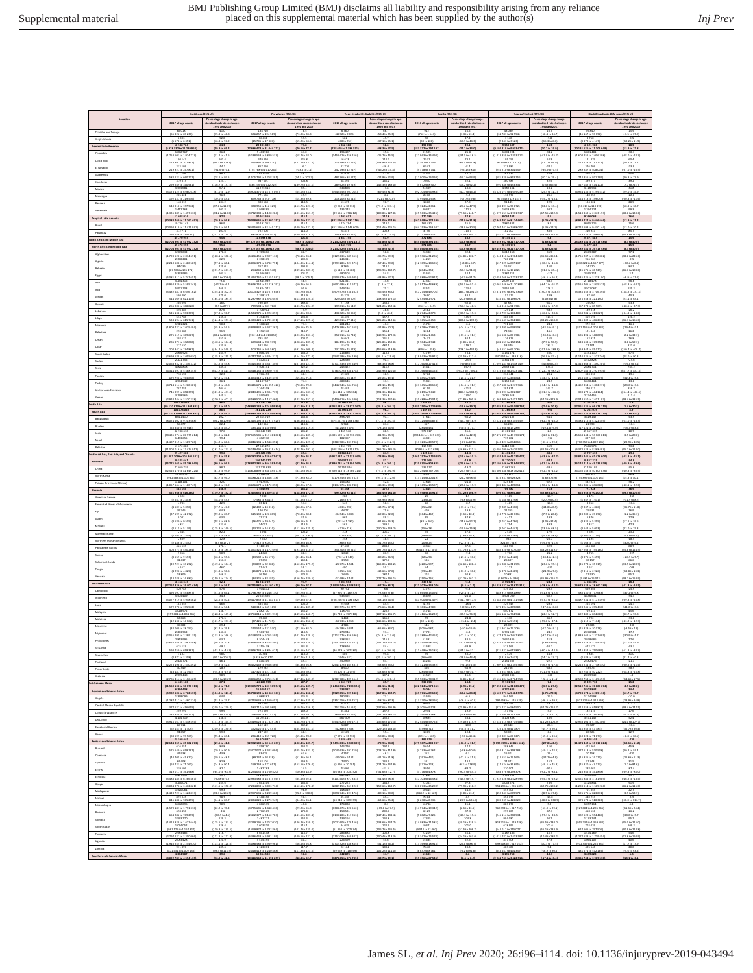|                                                           | Incidence (95% UI)                                                                                                                                                                                              |                                                                                                                                       | Prevalence (\$5% US)                                                                                                                                                                           |                                                                                                   | Years I red with disability (95% UI)                                                |                                                                                                        | Deaths (\$5% US)                                                                                                                      |                                                                                                                                 | Years of the lost (95% Ut)                                                                                            |                                                                                    | Disability adjusted life years (95% UI)                                                |                                                                                  |
|-----------------------------------------------------------|-----------------------------------------------------------------------------------------------------------------------------------------------------------------------------------------------------------------|---------------------------------------------------------------------------------------------------------------------------------------|------------------------------------------------------------------------------------------------------------------------------------------------------------------------------------------------|---------------------------------------------------------------------------------------------------|-------------------------------------------------------------------------------------|--------------------------------------------------------------------------------------------------------|---------------------------------------------------------------------------------------------------------------------------------------|---------------------------------------------------------------------------------------------------------------------------------|-----------------------------------------------------------------------------------------------------------------------|------------------------------------------------------------------------------------|----------------------------------------------------------------------------------------|----------------------------------------------------------------------------------|
|                                                           | 2017 all-age counts                                                                                                                                                                                             | - ercentage change in age<br>tandardised rates between<br>1990 and 2013                                                               | 2017 all-age count                                                                                                                                                                             | 1990 and 2017                                                                                     | 2017 all-age counts                                                                 | 1990 and 2011                                                                                          | 2017 all-age count                                                                                                                    | 1990 and 2011                                                                                                                   | 2017 all-age count                                                                                                    | 1990 and 2017                                                                      | 2017 all-age counts                                                                    | 1990 and 2017                                                                    |
| Trinidad and Tobago                                       | (61322 to 69 231)                                                                                                                                                                                               | $(35.3 \text{ to } 46.8)$                                                                                                             | (176 257 to 194 589)<br>16 4 3 2                                                                                                                                                               | (73.91033.8)                                                                                      | (4892to 9026                                                                        | (58.4 to 75.3)                                                                                         | (762 to 1143)                                                                                                                         | (1.3 to 53.4)                                                                                                                   | (1478) to 52 554                                                                                                      | $(-10.4 \text{ to } 34.7$                                                          | (41 167 to 59 196                                                                      | (-3.5 to 37.9                                                                    |
| <b>Wrgin Islands</b>                                      | (5678 to 6351)<br>10588764                                                                                                                                                                                      | (46.8 to 57.9)<br>64.3                                                                                                                | (15 705 to 17 107<br>29 201 88                                                                                                                                                                 | (55.2 to 63.6)<br>73.8                                                                            | (400 to 763<br>1062300                                                              | (37.1 to 55.1                                                                                          | (80 to 100<br>190158                                                                                                                  | (10.9 to 44.3)                                                                                                                  | (2841 to 1521<br>9 559 607                                                                                            | $(-16.3 \text{ to } 6.7$<br>15.3                                                   | (1370 to 4 147)<br>10 621 900                                                          | $[-10.2 \text{ to } 11.9]$<br>18.5                                               |
| Colombia                                                  | (3 928 332 to 11 299 964)<br>17586031p1974713<br>190147                                                                                                                                                         | (59.9 to 69.2)<br>$\frac{(31.2 \text{ to } 41.6)}{101.4}$                                                                             | (27 686 473 to 31 044 721)<br>5 463 986<br>5138568 to 5839533                                                                                                                                  | (70.1 to 77.7)<br>58.4to 68.0)<br>126.8                                                           | (788 629 to 1 386 551)<br>196 487<br>145 942 to 256                                 | (48.3 to 67.5)<br>05.7 to 45.5                                                                         | (183 372 to 197 197)<br>31 595<br>(27 863 to 35 49                                                                                    | $(24.2 to 34.0)$<br>$-25.8$<br>(-34.5 to -16)                                                                                   | (9 192 315 to 9 931 672)<br>14185910180151                                                                            | (10.7 to 19.9)<br>(41.9 to -21<br>54.1                                             | (10 131 626 to 11 109 649)<br>1 801 481<br>1602 251 to 2 006 3<br>121879               | (13.9 to 22.8)<br>(-38.0 to -22.)                                                |
| Costa Rica<br>El Salvador                                 | (178991 to 201801)                                                                                                                                                                                              | (94.1 to 109.1)                                                                                                                       | (455 995 to 506 420)                                                                                                                                                                           | $(121.4$ to $132.2)$                                                                              | (11919to 22252                                                                      | $(103.9 \text{ to } 124.5)$                                                                            | (2 367 to 2 709)                                                                                                                      | (65.5 to 91.8)                                                                                                                  | (97 999 to 112 719)                                                                                                   | (42.7 to 66.9)                                                                     | (113573 to 131217)                                                                     | (50.2 to 71.7)                                                                   |
| Guatemala                                                 | (219927 to 247811)                                                                                                                                                                                              | $(-21.6 \text{ to } -7.4)$                                                                                                            | (755 788 to 1017 245)                                                                                                                                                                          | $(43.5 + 2.4)$<br>$[74.3 \text{ to } 102.7]$                                                      | (24 279 to 42 227)                                                                  | $(46.2 \text{ to } -24.8)$<br>$(22.9 \text{ to } 62.9)$                                                | (5 378 to 7 741)<br>(12 900 to 16 09)                                                                                                 | $\frac{(-25.1 \text{ to } 8.0)}{73.0}$                                                                                          | (256 210 to 374 559)<br>(681 839 to 853 156)                                                                          | $(36.910 - 7.5)$<br>(40.2 to 76.4)                                                 | (289 287 to 408 014)                                                                   | $\frac{(47.0 \text{ to } 40.5)}{25.6}$<br>(40.3 to 73.9                          |
| Honduran                                                  | (584 123 to 660 217)<br>319 373<br>(299 249 to 340 981)                                                                                                                                                         | $(78.1 to 97.5)$<br>124.1<br>(116.7 to 131.0                                                                                          | (1.505.791 to 1.768.291)<br>$\frac{(166.216161.022.722)}{14.725.513}$                                                                                                                          | (189.710233.1)                                                                                    | (48 536 to 84 377)<br>(28 962 to 49 229                                             | (145.3 to 189.0                                                                                        | 5 672 to 8 500                                                                                                                        | $(55.2 + 0.93.5$<br>(17.21092.3                                                                                                 | (291 886 to 433 332)<br>4 582 254                                                                                     | $\frac{10.5 \text{ to } 66}{28.1}$                                                 | 744 856 to 921 199<br>399 377<br>(127 082 to 474 172)<br>5 116 952                     | $\frac{0.71672.3}{31.8}$                                                         |
| Mexico<br>Nicaragua                                       | (5 173 125 to 6 060 678)<br>205 421                                                                                                                                                                             | $\frac{(61.0 \text{ to } 72.9)}{76.3}$                                                                                                | (13 504 370 to 15 675 094                                                                                                                                                                      | $\frac{(65.01073.1)}{25.9}$                                                                       | (394 445 to 707 014                                                                 | $(59.5 \text{ to } 81.3)$                                                                              | (92 105 to 94 98)                                                                                                                     | (40.7 to 46.                                                                                                                    | (4 520 073 to 4 649 039                                                                                               | (25.5 to 31)                                                                       | (4 954 436 to 5 299 5)                                                                 | (29.0 to 34.9                                                                    |
| Panama                                                    | (192117 to 219 516)<br>(140010 to 157942)                                                                                                                                                                       | $(70.0 \text{ to } 81.2)$<br>104.2<br>$(97.6 \text{ to } 110.9)$                                                                      | (669 763 to 910 778)<br>390 158<br>(370 956 to 412 329)                                                                                                                                        | $\frac{(14.910 39.3)}{118.5}$<br>(113.710123.3)                                                   | $(216201638546)$<br>13677<br>(9 950 to 18 116)                                      | $\frac{(21.0 \text{ to } 10.0)}{90.7}$<br>(77.9 to 103.1)                                              | $\frac{(1994 to 2638)}{1868}$<br>(1724 to 2011)                                                                                       | $\frac{(-17.769.8)}{37.0}$<br>$\frac{(26.2 \text{ to } 47.9)}{112.3}$                                                           | $\frac{(97.354 + 0.129.453)}{91.145}$<br>(83491 to 98 872)                                                            | $\frac{(45.2 \text{ to } -13.1)}{22.5}$<br>(12.0 to 33.4)                          | (124 218 to 159 093)<br>104 8 22<br>(96 413 to 113 398)                                | $\frac{(-30.8 \text{ to } -11.6)}{28.5}$<br>(18.3 to 38.7)                       |
| Venezuel<br><b>Tropical Latin Am</b>                      | 1412263<br>(1.333.389 to 1.497.330<br>11.038914                                                                                                                                                                 | 101.5<br>$(94.2 \text{ to } 110.0)$                                                                                                   | 194818<br>(1722 188 to 4 190 284)<br>30 9 13 669                                                                                                                                               | 140.2<br>$\frac{(131.516.151.2)}{115.1}$                                                          | 135 248<br>(99 656 to 178 212<br>1 203 631                                          | 113.5<br>$(100.8 \text{ to } 127.0$<br>117.8                                                           | 30327<br>(25.563 to 35.421)<br>170 186                                                                                                | $\frac{(79.1 \text{ to } 148.)}{27.8}$                                                                                          | 1628876<br>(1.372551to 1.911.53)<br>BOG2432                                                                           | 93.2<br>$\frac{(67.5 \text{ to } 132)}{9.1}$                                       | 1764124<br>(1 513 369 to 2 043 193<br>9 266 063                                        | 99.3<br>(70.610 130.6                                                            |
| <b>Drazil</b>                                             | 10 388 760 to 11 762 491<br>10 726 143<br>(10 094 819 to 11 425 031)                                                                                                                                            | (79.5 to 94.8)<br>86.9<br>(79.1 to 94.4)                                                                                              | 29 09 8 666 to 32 907 157<br>30 191 062<br>(28 415 631 to 32 140 717)                                                                                                                          | 109.01p 122.1<br>115.1<br>(109.010.122.2)                                                         | 882 820 to 1 587 716<br>1 174 794<br>(862 300 to 1 549 600                          | 11.0 to 124.<br>$(111.4 \text{ to } 125.1$                                                             | 167 848 to 172 591<br>166 410<br>(164 153 to 168 607                                                                                  | 24.9 to 31.1<br>26.6<br>(23.8 to 30.5                                                                                           | 7945792 to 5174 66<br>7 880 332<br>(7 767 741 to 7 988 007                                                            | (6.2 to 13.2<br>8.1<br>$6.3 \times 12.1$                                           | 891972710964664<br>9 055 126<br>(8 724 693 to 9 430 144)                               | 12.9 to 21.2<br>15.6<br>(12.0 to 20.2)                                           |
| Paraguay                                                  | 312773<br>(292146 to 335 090)                                                                                                                                                                                   | 107.6<br>$\frac{(101.4 to 114.5)}{95.6}$                                                                                              | 722 600<br>(681 909 to 766 911)<br>107498 878                                                                                                                                                  | 114.0<br>$\frac{(109.410.118.7)}{101.4}$                                                          | 2883<br>(20 987 to 38 355                                                           | 100.8<br>(91.010110.6                                                                                  | $\begin{array}{r} 3.756 \\ (3.127 \, \text{to} \, 4.512) \\ \hline 372 \, 685 \end{array}$                                            | 111.7<br>$\frac{(74.4 \text{ to } 160)}{23.7}$                                                                                  | 182 100<br>(151011 to 219 409                                                                                         | 51.5<br>(45.4 to 124.6)                                                            | 210937<br>(179736 to 249 643)<br>24 677 483                                            | \$5.7<br>$\frac{54.8 \text{ to } 121.5}{15.9}$                                   |
| th Africa and Middle East<br>North Africa and Middle East | (42 704 903 to 47 992 132)<br>45 270 955<br>(42 704 903 to 47 992 132)<br>1 903 03 04 107                                                                                                                       | (\$9.9 to 103.4)                                                                                                                      | 99 870 565 to 116 912 003                                                                                                                                                                      | (98.9 to 104.0)                                                                                   | 4 141 745<br>(1213 242 to 5 671 131)<br>4 141 745<br>(1213 242 to 5 671 131)        | (52.8 to 72.7)                                                                                         |                                                                                                                                       | (16.6 to 38.5)                                                                                                                  | (19 459 942 to 21 417 708)<br>20 315 737<br>(19 459 942 to 21 417 708)<br>1012 758                                    | (1.6 to 24.4)                                                                      | (23 189 581 to 26 418 484)                                                             | (8.3 to 30.0)                                                                    |
| Afghanistan                                               | (1.793620 to 2.034691)                                                                                                                                                                                          | 95.6<br> 19.9 to 103.4<br>(168.1 to 188.1)                                                                                            | 107498878<br>39870565 to 11691200<br>(6 486 456 to 9 197 116)                                                                                                                                  | (38.9 to 104.0)<br>(78.11096.2)                                                                   | (312 563 to 585 61)                                                                 | $(52.8 \text{ to } 72.7)$<br>$(35.7 + 63.1)$                                                           | (21936 to 31 285                                                                                                                      | (16.6 to 38.5<br>(14.5 to 105)                                                                                                  | (1348416 to 1904 62)                                                                                                  | (1.6 to 24.4)<br>(16.1 to 350)                                                     | 24 677 483<br>23 189 581 to 26 418 484<br>(17512071023588)                             | (8.3 to 30.0)<br>(38.6 to 225.6                                                  |
| Ageria<br>Bahrain                                         | (2 210 608 to 2 480 585)                                                                                                                                                                                        | $\frac{(57.1 \text{ to } 68.1)}{225.0}$                                                                                               | $(6.086.378 to 6.782.791)$<br>267.818                                                                                                                                                          | (104.810.114.4)                                                                                   | (179 728 to 121 171)<br>9 269                                                       | $(57.4 \text{ to } 79.8)$<br>218.7                                                                     | $(12.109 + 0.18.101)$                                                                                                                 | $\frac{(-13.8 \text{ to } 6.7)}{69.4}$                                                                                          | (617025 to 897137)                                                                                                    | $(40.3 \text{ to } -11.4)$                                                         | (838 821 to 1 157 077)<br>24 720                                                       | $\frac{(-18.2 \text{ to } 0.4)}{84.1}$                                           |
| tgypt                                                     | (87 501 to 101 471)<br>5391980                                                                                                                                                                                  | [211.7 to 241.2]<br>101.<br>$(98.1 \text{ to } 109.4)$                                                                                | (254 249 to 286 548)<br>11 9 16 9 11                                                                                                                                                           | (289.1 to 307.9)                                                                                  | (6 615 to 12 480)<br>480503                                                         | (196.9 to 242.7<br>54.1                                                                                | (284 to 358)                                                                                                                          | (50.1 to 91.6<br>14.4                                                                                                           | (13854 to 17 282)<br>2 384 7 13                                                                                       | (11.0 to 65.4)                                                                     | (21 676 to 28 529)<br>2865214                                                          | (66.7 to 101.0                                                                   |
| tran                                                      | (5 081 312 to 5 742 651)<br>5 254 315<br>(4950320 to 5595 243)                                                                                                                                                  | $(-12.7 \text{ to } -6.1)$                                                                                                            | (11414 750 to 12 651 037)<br>16 844 989<br>(15676252 to 18226291)                                                                                                                              | $\frac{[38.1 \text{ to } 105.1]}{58.5}$<br>(50.21066.5)                                           | (350 037 to 640 935<br>(460 748 to 815 677)                                         | $\frac{(43.9 \text{ to } 67.1)}{14.6}$<br>(1.8 to 27.8)                                                | (37 988 to 52 927)<br>42 562<br>(41917 to 43689)                                                                                      | (0.71034.7)<br>(65.5 to -51.4)                                                                                                  | (2053068 to 2713527)<br>2097157<br>(2051146 to 2170 883)                                                              | $\frac{(-16.6 \text{ to } 16.2)}{43.4}$<br>$\frac{(44.7 \text{ to } 41.7)}{226.2}$ | (2535 226 to 3 223 100<br>2718 478<br>(2 556 405 to 2 915 525)<br>3 501 067            | $(4.9 \text{ to } 21.0)$<br>(58.866.64.2)                                        |
| Iraq<br>Jordan                                            | (5.432.687 to 6.656.162)                                                                                                                                                                                        | (245.4 to 302.2)                                                                                                                      | $(10\,10\,3\,327\,{\rm to}\,14\,075\,646)$                                                                                                                                                     | 50.0<br>(83.7 to 98.3)<br>218.9                                                                   | (197 957 to 738 202)                                                                | (56.5 to 85.0)                                                                                         | 48 501<br>(47 275 to 49 701)                                                                                                          | (186.7 to 291.7                                                                                                                 | (2874 293 to 3027 809)                                                                                                | $(190.5 \text{ to } 303.5)$                                                        | (3 335 552 to 3 706 394)                                                               | (158.2 to 231.1)                                                                 |
| Kuwait                                                    | (544 059 to 621 115)<br>(266 906 to 308 020)<br>556 889                                                                                                                                                         | (164.016185.2)<br>(2.91027.1)                                                                                                         | $(1.237987 to 1.378645)$<br>TRO 450                                                                                                                                                            | $\frac{(213.616.224.5)}{189.4}$<br>$\frac{(183.710194.9)}{75.9}$                                  | (32.4001660602)<br>(19 501 to 36 640)                                               | $\frac{(138.5 \text{ to } 172.1)}{116.4}$<br>$\frac{(124.2 \text{ to } 152.4)}{28.6}$                  | $(2.435 \text{ to } 2.971)$<br>(912 to 1049)                                                                                          | (20.01063.1)<br>$\frac{165.1 \text{ to } -48.5}{.28.4}$                                                                         | (136541 to 169673)                                                                                                    | $(6.0 \text{ to } 47.8)$<br>$(43.2 \text{ to } 57.9)$                              | $(175.258 to 221.190)$<br>75.050                                                       | $\frac{(23.4 \text{ to } 63.1)}{41.6}$<br>$(48.6 \text{ to } -37.3)$             |
| Lebano<br>Libya                                           | (525 138 to 593 319)<br>574 708                                                                                                                                                                                 | $(77.8 + 96.7)$                                                                                                                       | (739 584 to 831 786)<br>1 706 902<br>(1 534 976 to 1 922 893)<br>1 494 055                                                                                                                     | (62.31090.6)                                                                                      | (43 832 to 80 363                                                                   | (9.01048.8)                                                                                            | (2 274 to 2 878                                                                                                                       | $\begin{array}{r} -28.4 \\ \hline (38.5 \text{ to } 49.3 \\ \hline 145.9 \end{array}$                                           | 44816 to 51390)<br>129 018<br>(113 797 to 143 400<br>300 739                                                          | $(46.8 \text{ to } -30.6)$                                                         | (67 073 to 85 509)<br>189 378<br>(168 281 to 213 627)<br>359 174                       | $\frac{(-34.3 \text{ to } -18.8)}{128.2}$                                        |
| Morocco                                                   | (538 194 to 615 741)<br>1911 221                                                                                                                                                                                | $\frac{(124.4 \text{ to } 151.6)}{50.2}$                                                                                              | $(1.333428 to 1.701871)$<br>5 108 820                                                                                                                                                          | $\frac{(167.110.225.5)}{73.1}$<br>$\frac{(70.616.75.9)}{210.7}$                                   | (42 781 to 77 441)                                                                  | $(125.2 \text{ to } 212.6$<br>41.2                                                                     | (4.765 to 6.658)                                                                                                                      | $(103.8 + 0.192)$                                                                                                               | (256 547 to 344 186                                                                                                   | (88.2 to 163.0)                                                                    | (311 802 to 406 233)<br>972 904                                                        | (96.3 to 161.0)                                                                  |
| Palestine                                                 | (1809427162025484)<br>(27161910309667)<br>308622                                                                                                                                                                | $(45.9 to 54.6)$<br>91.5<br>$(80.2 \text{ to } 100.8)$<br>151.9                                                                       | (4878 832 to 5 407 262)<br>136 940<br>(972 104 to 1 413 050)<br>735 197                                                                                                                        | (193.2 to 233.1)<br>201.7                                                                         | (147 638 to 267 668)<br>(35 871 to 66 724)<br>26 047                                | $(32.8 \text{ to } 50.7)$<br>156.1<br>(140.9 to 172.3<br>141.9                                         | (12 628 to 20 857)<br>1 284<br>(1101 to 1413)<br>2437                                                                                 | $( -24.6 \text{ to } 12.6 )$<br>$[-17.1 to 11.3]$<br>10.4                                                                       | (623 295 to 999 508)<br>72 302<br>(61638 to 80 798)<br>126 873                                                        | $(38.610 - 9.1$<br>$-15.4$<br>$(28.3 + 0.0.2)$<br>15.5                             | (807 155 to 1 204 832)<br>121 846<br>(105 491 to 140 815)<br>152921                    | $\frac{(-29.4 \text{ to } -2.4)}{16.2}$<br>(2.2 to 32.3)<br>26.8                 |
| Oman<br>$\mathsf{Q}$                                      | $\frac{(286873 \text{ to } 332818)}{217630}$                                                                                                                                                                    | $\frac{(140.5 \text{ to } 164.4)}{520.9}$                                                                                             | (699 644 to 780 939)<br>532 294<br>(503 266 to 569 560)                                                                                                                                        | (198.5 to 209.0)<br>599.6                                                                         | (18419to 35248)<br>18625                                                            | $\frac{(125.8 \text{ to } 159.0)}{487.1}$                                                              | $\frac{(1984 to 2942)}{1036}$                                                                                                         | $(3.01068.0$<br>319.2<br>(228.7 to 442)                                                                                         | (104 557 to 152 154<br>(43 551 to 64 706                                                                              | $\frac{(7.9 \text{ to } 50)}{283.2}$                                               | (128 618 to 179 358)                                                                   | $\frac{(3.8 \text{ to } 59.3)}{321.0}$<br>(250.7 to 408.7                        |
| Saudi Arabia                                              | (202 847 to 234 867)<br>2866925<br>(2 699 588 to 1 055 030                                                                                                                                                      | (494.2 to 549.2)<br>(135.1 to 155.7)                                                                                                  | 6 046 201<br>(5.747.794 to 6.424.212)                                                                                                                                                          | (591.010609.8)<br>168.0<br>(164.010172.0)                                                         | (13 220 to 25 379<br>216 836<br>(154 578 to 294 195                                 | (456.6 to 519.9<br>113.6<br>(99.2 to 129.0)                                                            | (840 to 1258)<br>22 799<br>(18 843 to 26 921)                                                                                         | 73.4<br>(35.5 to 117.4                                                                                                          | 1 1 1 4 2 7 4<br>(940 952 to 1 339 316                                                                                | (202.0 to 189.8)<br>$(16.8 \text{ to } 87.4)$                                      | (59 847 to 85 022)<br>1351110<br>(1140125101571746                                     | (28.0 to 90.3                                                                    |
| Sodan                                                     | 2 201 755<br>$(2.068932 to 2.336.372)$<br>4.520.818                                                                                                                                                             | 49.1<br>$(42.2 \text{ to } 55.8)$                                                                                                     | 5872813<br>(5.315.332 to 6.587.349)                                                                                                                                                            | 1119<br>$\frac{(107.346.121.2)}{322.2}$                                                           | 228530<br>(171 131 to 295 545                                                       | 90.3<br>$(83.3 \text{ to } 98.8)$                                                                      | 21897<br>(17760 to 27413)                                                                                                             | $-23.5$<br>(39.8 to 5.)                                                                                                         | 1344297<br>1092481to 1638749                                                                                          | $-30.3$<br>$(46.6 \text{ to } 0.4$                                                 | 1572828<br>$(1.323.868 to 1.890.207$<br>7 mg 714                                       | $-23.6$<br>$\frac{(49.8 \text{ to } 7.4)}{744.2}$                                |
| Syria<br>Tunisia                                          | (4 314 697 to 5 588 353)<br>718 590<br>(679 790 to 763 090)<br>4 984 549                                                                                                                                        | (602.7 to 813.6)<br>32.3<br>(27.3 to 37.4)                                                                                            | (4 548 156 to 6 820 755)<br>1 976 451<br>(1884 312 to 2 109 319)                                                                                                                               | (263.110.397.1)<br>68.1<br>(5.2 to 71.3)                                                          | 245 472<br>(176 307 to 338 478)<br>69 369<br>(49 782 to 93 442)                     | (245.9 to 420.0<br>38.5<br>29.2 to 49.1                                                                | (44 755 to 46 158)<br>5 762<br>(4 685 to 7 0 23)                                                                                      | (767.7 to 1000.)<br>$(20.6 \text{ to } 22.5$                                                                                    | (2 610 144 to 2 673 781)                                                                                              | (722.1 to 987.2)<br>$(42.3 \text{ to } -32.4)$                                     | (2807 085 to 2977 936)                                                                 | (557.7 to 857.6<br>-1974<br>12.4 to -5.3                                         |
| $\tau_{\rm{urkey}}$                                       | (4714514to 5268 387)                                                                                                                                                                                            | (31.3 to 40.8)                                                                                                                        | (13 421 671 to 15 055 426)                                                                                                                                                                     | (70.010.79.0)                                                                                     | (144 294 to 644 716)                                                                | $\frac{(22.1 \text{ to } 45.3)}{424.7}$                                                                | (23.345 to 28.163)                                                                                                                    | $[-24.6 \text{ to } 21.7]$                                                                                                      | (1057580 to 1247966)                                                                                                  | $(34.1 to -34.4)$                                                                  | (1.462.854 to 1.812.217)                                                               | (.23.0 to .3.5                                                                   |
| United Arab Emirates<br>Yemen                             | (741 099 to 858 399)<br>3 199 569<br>(2 920 744 to 3 570 238)                                                                                                                                                   | $\frac{(381.0 \text{ to } 431.1)}{345.5}$                                                                                             | (2041496 to 2 304739)<br>3 840 085<br>(3 589 500 to 4 167 466)                                                                                                                                 | $(511.310.537.1)$<br>149.6                                                                        | (56 444 to 105 784)                                                                 | $(391.3 \text{ to } 461.6)$<br>125.8                                                                   | (4819 to 7 649)                                                                                                                       | (286.1 to 588.9)                                                                                                                | $(228093 to 361387)$<br>2005 913<br>(1 868 809 to 2417 180)                                                           | $(231.3 to 476.3)$<br>110.1                                                        | $\frac{(10017910444164)}{2274455}$                                                     | (264.4 to 466.1)<br>111.4                                                        |
| th Asia                                                   | 104 773 040<br>(99 110 820 to 111 302 843)                                                                                                                                                                      | (310.1 to 402.1)<br>86.5<br>(82.1 to 91.0)                                                                                            | 261230229<br>248 880 133 to 274 959 856)                                                                                                                                                       | (143.010157.5)<br>115.6<br>$\frac{(112.846118.7)}{115.6}$                                         | (140 661 to 244 630)<br>10796160<br>(8068 438 to 13 977 167)                        | (113.3 to 140.6)<br>(89.3 to 104.2)                                                                    | (30 489 to 40 044<br>1167667<br>$(1080250101229819)$<br>1167667                                                                       | (71.8 to 400.9<br>$(19.6 \text{ to } 39.7)$                                                                                     | 51266858<br>(47 056 255 to 54 098 762)                                                                                | (54.1 to 379.)<br>(.7.4 to 10.8)                                                   | (2043 550 to 2 612 197)<br>62063019<br>(57 061 135 to 66 428 115)                      | (58.4 to 135.5<br>(1.4 to 20.3)                                                  |
| South Asia<br>Bangladest                                  | (99 110 820 to 111 302 843)                                                                                                                                                                                     | (82.1 to 91.0)                                                                                                                        | 248 880 133 to 274 959 856)                                                                                                                                                                    | $(112.8$ to $118.7)$                                                                              | (8 068 438 to 13 977 167)                                                           | (89.3 to 104.2)                                                                                        | (1 080 250 to 1 229 819)                                                                                                              | $(19.6 \text{ to } 39.7)$                                                                                                       | (47 056 255 to 54 098 762)                                                                                            | $(7.4 \times 10.8)$                                                                | (57 061 135 to 66 428 115)                                                             | (1.4 to 20.3)                                                                    |
| thutan                                                    | (8 074 502 to 9 203 668)                                                                                                                                                                                        | (96.210 109.6)<br>75.8 to 89.                                                                                                         | $(21.425.195$ to 21 971 920)<br>142 354                                                                                                                                                        | $\frac{(136.616.151.0)}{113.6}$<br>(108.1to 119)                                                  | (675.301 to 1.166.836)                                                              | $\frac{(77.1 \text{ to } 107.5)}{81.2}$<br>73.1 to 94.                                                 | $(51.125 \text{ to } 64.878)$                                                                                                         | $(46.7 + 18.9)$<br>1-30.0 to 17                                                                                                 | (2524 456 to 3 145 659)                                                                                               | $\frac{(42.3 \text{ to } -40.0)}{.29 \text{ J}}$<br>(49.4 to -9                    | (3 388 116 to 4 322 549)                                                               | $\frac{(53.0 \text{ to } 28.3)}{36.3}$<br>$-16.0 to 1$                           |
| India                                                     | $\begin{array}{r l} \hline (53\,340\,10\,\,59\,944) \\ \hline 82\,938\,618 \\ \hline (78\,431\,974\,10\,87\,975\,214) \\ 1\,403\,055 \\ \hline (1407\,015\,10\,1\,589\,728) \\ \hline 11\,672\,880 \end{array}$ | $(73.3 \text{ to } 82.3)$                                                                                                             | 135 141 to 150                                                                                                                                                                                 | (103.610 109.1                                                                                    | 49324to 7476<br>105 699 to 10 970 45:<br>182 167                                    | $(81.9 + 95.5)$                                                                                        | $\begin{array}{r} (284\, \, \mathrm{to} \, 434) \\ 977\, 117 \\ (893\, \, 106\, \, \mathrm{to} \, 1029\, 631 \\ 16\, 831 \end{array}$ | $\frac{(22.61642.1)}{74.1}$                                                                                                     | 11868 to 1928<br>41 201 788<br>37 476 195 to 43 393 174<br>715 602                                                    | $(4.8 \text{ to } 11.3$                                                            |                                                                                        | $(3.5 + 0.20.0)$                                                                 |
| Nepal<br>Pakista                                          |                                                                                                                                                                                                                 | $(74.2 \text{ to } 34.5)$                                                                                                             | $\begin{array}{r} 206\,644\,919 \\ \underline{97\,155\,586\,to\,217\,281\,00} \\ \underline{4\,282\,938} \\ \underline{4\,046\,111\,to\,4\,546\,052)} \\ \underline{27\,545\,270} \end{array}$ | (115.810 129.1)                                                                                   | $\frac{(138.390 + 0.231.736)}{1.253.775}$                                           | (93.6101129                                                                                            | $(13.323 \text{ to } 20.579$                                                                                                          | (3.7667.                                                                                                                        | (540 423 to 894 816)                                                                                                  | $(-33.6 to 29.8)$                                                                  | (718.350 to 1.092.186<br>7666578                                                       | (20.91640.5                                                                      |
| theast Asia, East Asia, and Oceania                       | $(11 002 016 to 12 424 012)$<br>99 427 300<br>(93 882 709 to 105 301 532)<br>80 525 641                                                                                                                         | (161.0 to 173.6)<br>(73.8 to 85.8)                                                                                                    | (26 149 495 to 29 019 414)<br>409 428 495<br>[389 282 308 to 430 617 677]                                                                                                                      | $\frac{(178.410191.6)}{99.6}$<br>(43.7 to 95.7)                                                   | (938 240 to 1 615 812)<br>13 366 159<br>(9 957 437 to 17 533 460)<br>10 637 158     | $\frac{(165.2 \text{ to } 186.3)}{84.9}$<br>$(73.8 \text{ to } 96.6)$                                  | (90 955 to 117 65)<br>(1 065 752 to 1 159 350)<br>775 366                                                                             | 46.6 to 121<br>$\frac{[-19.4 \text{ to } -10.3]}{18.9}$                                                                         | (5 095 090 to 7 6 29 504)<br>44 43 1 454<br>(42 652 145 to 45 715 474)<br>28 720 067                                  | (31.5 to 105.1)<br>$\frac{(43.6 \text{ to } -37.7)}{47.5}$                         | (6374 623 to 8 868 483)<br>(53 826 241 to 62 476 600)<br>39 357 225                    | $\frac{(45.2 \text{ to } 114.0)}{29.6}$<br>$\frac{143.8 \text{ to } 25.1}{34.8}$ |
| <b>Cast Asia</b><br>China                                 | (75 775 665 to 85 286 045)<br>77069739                                                                                                                                                                          | (80.1 to 94.5)<br>88.2                                                                                                                | 328 822 381 to 364 593 436<br>111 2 26 6 11                                                                                                                                                    | (82.2 to 95.5)<br>89.5                                                                            | (7 880 731 to 13 994 160)<br>10152426                                               | (74.8 to 100.1)<br>87.6                                                                                | (720 835 to 809 835)<br>733517                                                                                                        | $[-25.6 \text{ to } -14.2]$<br>$-19.3$                                                                                          | (27 196 646 to 29 844 375)<br>27067763                                                                                | $(51.3 to -44.4)$<br>48.4                                                          | (36 142 412 to 43 139 078)<br>37 220 189                                               | $(-39.9 to -29.6)$<br>35.6                                                       |
| North Korea                                               | (72 520 470 to 81 649 224)<br>1 040 575<br>(982 483 to 1 101 861)                                                                                                                                               | $\frac{(81.2 \text{ to } 95.9)}{88.1}$<br>(82.76694.0)                                                                                | 114 608 899 to 148 895 77<br>4 419 634<br>(4 188 216 to 4 666 138)                                                                                                                             | (83.01096.6)<br>(71.9 to 83.0)                                                                    | (7 5 20 541 to 11 166 714                                                           | 75.1 to 100.9<br>(95.1 to 112.0                                                                        | (681 254 to 767 006<br>(13.315 to 20.019)                                                                                             | $\frac{(-26.5 \text{ to } -14.8)}{58.3}$<br>(22.2 to 98.5)                                                                      | 25 600 588 to 28 162 416)<br>763 802<br>(610931 to 929 323)                                                           | $\frac{(52.3 \text{ to } 45)}{38.7}$<br>$(5.6 \text{ to } 75.9)$                   | (34 160 038 to 40 804 836)<br>920 987                                                  | $(40.8 \text{ to } -30.5)$<br>(15.3 to 80.1)                                     |
| Taiwan (Province of China)                                | 1118104<br>$\frac{(1.057664 \text{ to } 1.180745)}{583144}$                                                                                                                                                     | 32.0<br>(26.1 to 37.9)                                                                                                                | 4917640<br>(4676672 to 5 172090)                                                                                                                                                               | $\frac{52.7}{(48.21057.6)}$                                                                       | $\frac{(117.635 \text{ to } 203.762)}{156.188}$<br>$(113.477 to 206.740)$<br>65 348 | 52.8<br>$\frac{(46.1 \text{ to } 59.2)}{172.5}$                                                        | 12 816<br>$\frac{(12169 + 0.13507)}{12614}$                                                                                           | $-24.0$<br>$\frac{127.8 \text{ to } 19.9}{76.8}$                                                                                | 425 839<br>(403 454 to 449 811)                                                                                       | $-47.4$<br>$\frac{(50.2 \text{ to } -44.4)}{71.3}$                                 | $(755.899 to 1.101.431)$<br>582027<br>(535 086 to 636 088)                             | 36.2<br>$\frac{(40.1 \text{ to } 32.0)}{76.9}$                                   |
| Oceania<br>American Sampa                                 | 1946 to 616 2                                                                                                                                                                                                   | 19.7 to 152                                                                                                                           | 65 655 to 1 629 83                                                                                                                                                                             | 58.8to 172                                                                                        | 49432to 834                                                                         | 64.4 to 181                                                                                            | 0495 to 14 91                                                                                                                         | 7.2 to 105.                                                                                                                     | 0281 to 835 2                                                                                                         | 12.5 to 10                                                                         | 53955 to 9010                                                                          | 49.5 to 105                                                                      |
| Federated States of Micronesia                            | 2 692<br>(2 547 to 2 843)<br>4783<br>4507 to 5 090                                                                                                                                                              | 41.9<br>(38.0 to 45.7)<br>$42.5$<br>(37.7 to 47.9)                                                                                    | 7 989<br>(7 585 to 8 443)<br>13121<br>(12 482 to 13 816                                                                                                                                        | 67.0<br>(61.6 to 73.0)<br>53.2<br>(48.9 to 57.5)                                                  | 288<br>(216 to 374)<br>543<br>(403 to 700)                                          | $(53.9 \text{ to } 53.5)$<br>50.3<br><u>(43.7 to 57.1</u>                                              | 25<br>(23 to 26)<br>(45, 10, 8.2)                                                                                                     | 1.5<br>4.8 to 12.9<br>$\frac{4}{147.5}$ to 17.4                                                                                 | 1 185<br>(1088 to 1 298)                                                                                              | -10.7<br>420.7 to 0.5<br>-16.0<br>144.0 to 8.1                                     | 1 473<br>(1 347 to 1 611)<br>3952<br>(2837 to 4866                                     | (41.91082)<br>36.7 to 11.8                                                       |
| nş<br>Guam                                                | (17599 to 42 072)                                                                                                                                                                                               | $(59.0 \text{ to } 69.7)$<br>63.5                                                                                                     | (115 130 to 126 815)                                                                                                                                                                           | (70.310.80.2)                                                                                     | (1454 to 6 038                                                                      | $(52.0 \text{ to } 82.8)$                                                                              | (364 to 462)                                                                                                                          | (1.11040.3                                                                                                                      | (18778 to 24 111)<br>4 412                                                                                            | $(7.5 \text{ to } 28.8)$                                                           | (23 200 to 29 096                                                                      | $(1.2 \text{ to } 35.3)$                                                         |
| Kiribati                                                  | $(4.580 to 9.505)$<br>4.811<br>(4 5 15 to 5 1 19)                                                                                                                                                               | (58.5666.9)<br>(125.8 to 140.5)                                                                                                       | (26 475 to 29 041)<br>14 05 1<br>(13 221 to 14 910                                                                                                                                             | $\frac{(40.61091.2)}{118.5}$<br>(111.5 to 125.4)                                                  | $\frac{(703 + 0.1281)}{563}$<br>(421 to 716)                                        | $\frac{(81.6 \text{ to } 96.3)}{139.7}$<br>$(130.2 \text{ to } 149.2)$                                 | (88 to 103)<br>(55 to 78)                                                                                                             | (24.6 to 52.7)<br>(19.0 to 75.8)                                                                                                | $(4057 to 4786)$<br>3754<br>(3067 to 4441)                                                                            | $\frac{40.01032.4}{39.1}$<br>(13.0 to 68.5)                                        | (4931 to 5855)<br>4317<br>(3 642 to 5 003                                              | $\frac{(17.1 \text{ to } 39.6)}{47.3}$<br>(22.0 to 74.3                          |
| Marshall Islands                                          | 2644<br>$(2.495 to 2.804)$<br>2 309                                                                                                                                                                             | 82.2<br>$\frac{(75.5 \text{ to } 88.9)}{12.8}$                                                                                        | 6912<br>(6 572 to 7 315)<br>7 660                                                                                                                                                              | $(94.2 \text{ to } 106.2)$<br>42.0                                                                | $\frac{(207 to 359)}{258}$                                                          | $\frac{(92.5 \text{ to } 109.1)}{38.5}$                                                                | (18 to 54)                                                                                                                            | $(7.6 \text{ to } 49.9)$                                                                                                        | 2416<br>(2 039 to 2.864)                                                                                              | $(0.1 to 38.9)$<br>$26.7$                                                          | 2 694<br>$(2.300 to 3.156)$<br>1.195                                                   | 23.2<br>$(5.91042.9)$<br>-18.5                                                   |
| Northern Mari<br>Pagua New Guinea                         | (2186 to 2430)<br>426135                                                                                                                                                                                        | (8.5 to 17.2)                                                                                                                         | $(7.312 \text{ to } 8.022)$                                                                                                                                                                    | (36.91046.8)                                                                                      | (186 to 344)                                                                        | $(31.7 \text{ to } 45.0)$                                                                              | (20 to 25)                                                                                                                            | $[ -22.3 + 0.11.7$                                                                                                              | (124 to 1049)                                                                                                         | $(39.010 - 11.3)$                                                                  | (1.058 to 1.339)<br>634388                                                             | $(.10.016 - 4.2)$                                                                |
| Sampa                                                     | (403 273 to 450 264)<br>(8.559109.593)                                                                                                                                                                          | (167.8 to 184.6)<br>(46.3 to 55.6)                                                                                                    | (1.051.324 to 1.172.696)                                                                                                                                                                       | (193.110.210.1)<br>(81.41096.4)                                                                   | (35 830 to 60 321<br>[792 to 1.341]                                                 | (197.7 to 219.7)<br>(80.2 to 96.5                                                                      | (8 440 to 12 507<br>[52 to 94]                                                                                                        | (51.7 to 127.0)                                                                                                                 | (450 320 to 707 039<br>(2953 to 4628)                                                                                 | (48.2 to 119.7)<br>(38.4 to 2.3)                                                   | (527 263 to 755 160                                                                    | (55.8 to 124.5)<br>$(26.5 \text{ to } 7.7$                                       |
| Solomon Islands                                           | $\begin{array}{r} 31\,437 \\ \text{(29.721 to 33.292)} \\ 4.557 \end{array}$                                                                                                                                    | 157.0<br>(149.5 to 164.3)                                                                                                             | $\begin{array}{c} 24.820 \\ (23.582 \text{ to } 26.177) \\ 77.856 \\ (73.82 \text{ to } 82.080) \\ 12.441 \\ (11.870 \text{ to } 11.041) \\ 16.186 \end{array}$                                | 169.1<br>(162.8to 175.2<br>59.2<br>(54.9to 63.3)<br>173.4                                         | 1550<br>2677to 4534                                                                 | $\begin{array}{r} 172.7 \\ 185.0 \text{ to } 180.2 \\ -0.2 \end{array}$                                | (420 to 597                                                                                                                           | $\begin{array}{r} \hline 774 \\[27.5 \text{ to } 10.5) \\[2ex] 68.0 \\[22.5 \text{ to } 108.4] \\[2ex] 1.7 \\[2ex] \end{array}$ | $\begin{array}{r} \hline 26.607 \\ 21.980 \text{ to } 31.659 \\ 2.121 \\ 2.121 \\ -\epsilon_{\text{PSI}} \end{array}$ | 23.6 to 95.1                                                                       | 4 765<br>(1 876 to 5 659)<br>30 157<br>(25 278 to 35 115<br>(2 315 to 2 926)<br>12 510 | 66.6<br><u>(11.5 to 100</u>                                                      |
| Tonga<br>Vanuati                                          | $\frac{(4.296 \text{ to } 4.825)}{13.802}$                                                                                                                                                                      | (42.8 to 50.6)                                                                                                                        |                                                                                                                                                                                                |                                                                                                   | (365 to 632)                                                                        | $(43.6 \text{ to } 57.0$                                                                               | (19 to 49)                                                                                                                            | $\frac{113910184}{928}$                                                                                                         | (1870 to 2409                                                                                                         | (21.9107.3                                                                         |                                                                                        | (43.81013.3)                                                                     |
| Southeast Asia                                            | $\frac{(13028 \text{ to } 14683)}{18318515}$<br>(17 267 336 to 19 402 434)                                                                                                                                      | $\frac{(159.1 \text{ to } 174.4)}{52.1}$<br>(48.1 to 56.7)                                                                            | (14 325 to 38 180)<br>61 743 769<br>(58 725 880 to 65 102 415)<br>1 974 812                                                                                                                    | $\frac{(166.410.180.6)}{93.9}$<br>(90.01097.7)                                                    | $(1.248 to 2.102$<br>2 663 653<br>(1993 024 to 3 425 588                            | $\frac{(177.766196.1)}{75.1}$<br>(67.2 36 83.7)                                                        | (150 to 265<br>[321 302 to 141 076]<br>12 771                                                                                         | $\frac{42.2 \text{ to } 162.}{3.8}$<br>(9.5102.7)                                                                               | (7867 to 14 330)<br>15 004 507<br>(14 339 137 to 15 621 311)<br>579 104                                               | (35.9 to 156.2)<br>$(28.6 \text{ to } -18.2)$                                      | (9485 to 16 043)<br>17 66 8 460<br>16 679 611 to 18 667 289                            | $\frac{(48.2 \text{ to } 158.9)}{-16.8}$<br>$(21.8 to -10.5)$<br>$-25.9$         |
| Cambodi<br>Indonesia                                      | (490 097 to 553 897)<br>5 505 409                                                                                                                                                                               | (51.6 to 64.1)<br>34.3                                                                                                                | (1776 787 to 2 246 130)<br>20 5 5 5 1 2 6                                                                                                                                                      | (35.7 to 61.2<br>61.1                                                                             | (67 991 to 116 937)<br>933592                                                       | (4.3 to 27.8)<br>51.4                                                                                  | (10 665 to 15 094<br>\$5,670                                                                                                          | (-20.4 to 12.5<br>$-25.0$                                                                                                       | (489915 to 681 899)<br>3 903 039                                                                                      | $(41.6 \text{ to } -12.5$<br>42.5                                                  | (\$80 130 to 777 663<br>4836631                                                        | $(-37.2 \text{ to } -0.8)$<br>$-14.4$                                            |
| Leos                                                      | (5 077 919 to 5 948 462)<br>183 355<br>(172078 to 195542)                                                                                                                                                       | $\frac{(28.6 \text{ to } 40.2)}{46.6}$<br>(40.0 to 54.4)                                                                              | 19 417 859 to 21 681 871<br>(510 319 to 565 105)                                                                                                                                               | (59.31067.3)<br>$(102.4$ to $109.8)$                                                              | (705 205 to 1 188 082)<br>25 648<br>(19157to 33277                                  | $\frac{(53.1 \text{ to } 64.5)}{85.5}$<br>$(76.6 \text{ to } 94.4)$                                    | (81 900 to 91 497<br>4 195<br>(1153 to 4 900)                                                                                         | $\begin{array}{r} \{31.1 \, \text{to} \, \text{-} 17.6 \\ \text{-} 18.4 \end{array}$<br>(39.5 to 2.7)                           | (3 686 064 to 4 131 948)<br>229 541<br>(173494 to 269 081)                                                            | $\frac{(47.3 \text{ to } -35.3)}{29.0}$<br>[47.5 to 4.4]                           | (4 487 234 to 5 177 499<br>255 191<br>(198 245 to 295 416)                             | $(39.8 \text{ to } 26.8)$<br>$(-41.810 - 3.6)$                                   |
| Malaysia<br>Maldives                                      | 1018972<br>(957 601 to 1 084 245)                                                                                                                                                                               | 138.7<br>(128.4 to 149.4)                                                                                                             | 2882770<br>(2754 011 to 3 021 916)                                                                                                                                                             | 155.2<br>$[149.5 \text{ to } 160.7]$                                                              | 118765<br>(85 728 to 157 710)                                                       | 120.9<br>$(107.1 \text{ to } 135.7$                                                                    | $(13.416 \text{ to } 16.239)$                                                                                                         | 57.6<br>(37.5 to 76.3                                                                                                           | 640 672<br>(586 142 to 704 941)                                                                                       | 37.0<br>(22.1 to 52.7                                                              | 759 437<br>(692 480 to 834 600                                                         | 45.6<br>(10.7 to 59.8                                                            |
| Maritius                                                  | (12130 to 14162)<br>36 082<br>(34 009 to 38 253)                                                                                                                                                                | (161.7 to 193.8)<br>69.4<br>(1.3) 62.2 to 76.3                                                                                        | 39460<br>(37426 to 41.725)                                                                                                                                                                     | 212.1to 256.8                                                                                     | (1073 to 1918)<br>4785<br>4479 to 6 344<br>778 bán                                  | (55, 6, 10, 10, 10)                                                                                    | (89 to 128)<br>546<br>(505 to 584)                                                                                                    | $35.160 - 2$<br>$-1.01015.4$                                                                                                    | (3852 to 5591)<br>23 099<br>21 361 to 24 706<br>230 530                                                               | (45.0 to -27.<br>$+10.1$<br>$+17.0$ to $-3.1$                                      | 3 119 to 7 174<br>27 883<br>25 829 to 30 078                                           | 41.2 to -12.<br>(4.5104.9)                                                       |
| Myanmar                                                   | 195 to 2 389 131                                                                                                                                                                                                | 33.3 to 166 5                                                                                                                         | 129 to 6 055 505<br>8 304 443                                                                                                                                                                  |                                                                                                   | 211 327 to 356 1<br>338 352                                                         | Sto 111                                                                                                | 189 to 42 46                                                                                                                          | $-22.1 + 0.10$                                                                                                                  | 879 to 2042 8                                                                                                         | $-127.7 + 0.7$                                                                     | 6611023210<br>2978686                                                                  |                                                                                  |
| Philippines<br>Sri Lanka                                  | (2.652.648 to 2.982.498)                                                                                                                                                                                        | (56.6 to 70.3                                                                                                                         | (7898 549 to 8 765 890)                                                                                                                                                                        | (116.510128.1)                                                                                    | (253 754 to 435 56)<br>128 610                                                      | $(107.2 \text{ to } 125.7)$                                                                            | (45 355 to 58 796                                                                                                                     | $(20.4 \text{ to } 59.)$                                                                                                        | (2 332 629 to 3017 042)                                                                                               | $(5.6 \text{ to } 39.4$                                                            | (2 648 673 to 3 354 802)                                                               | (13.0 to 44.9                                                                    |
| Seychelle                                                 | (393 450 to 659 381)<br>3 132<br>(2971to 3 308)                                                                                                                                                                 | $\frac{(51.2 \text{ to } 45.1)}{98.0}$<br>(90.7 to 105.2)                                                                             | (2 926 738 to 3 824 621)<br>10 384<br>(9936 to 10 877)                                                                                                                                         | $(115.516147.8)$<br>113.0<br>(107.4to 118.5)                                                      | (95 279 to 157 380)<br>(294 to 537)                                                 | $(67.5 to 104.9)$<br>95.8<br>05.16.102.11                                                              | (11 449 to 16 185)<br>(\$6 to 63)                                                                                                     | $\frac{144.3 \text{ to } 22.1}{33.0}$<br>(23.0 to 43.4)                                                                         | $\frac{(42132766511890)}{2479}$<br>(2318 to 2637)                                                                     | $\frac{(40.4 \text{ to } 42.6)}{24.3}$<br>(14.1 to 33.7)                           | (546 852 to 750 689)<br>2 884<br>(2 689 to 3 083)                                      | $\frac{(51.166 - 34.1)}{31.0}$<br>(21.7 to 40.)                                  |
| Thailand<br>Timor-Leste                                   | 2400774<br>(2 278 498 to 2 530 892)                                                                                                                                                                             | 46.2<br>$\frac{(39.9 \text{ to } 52.5)}{28.9}$                                                                                        | \$ \$70.109<br>(8 472 469 to 9 305 466)<br>179 232                                                                                                                                             | 89.3<br>(54.81093.8)                                                                              | 150 961<br>(254 317 to 465 331)<br>8910                                             | 61.7<br>$\frac{(53.6 \text{ to } 75.0)}{24.5}$                                                         | 48 268<br>(43 321 to 53 332)                                                                                                          | 9.9<br>$\frac{(-22.1 \text{ to } 2.3)}{35.9}$                                                                                   | 2 131 507<br>1907821to 2355 565)                                                                                      | $(36.9 to -27.4)$                                                                  | 2482476<br>2 223 231 to 2 738 530<br>33 676                                            | 21.1<br>$\frac{(30.6 \text{ to } 41.4)}{38.9}$                                   |
| Matrixe                                                   | (28481 to 32 390)                                                                                                                                                                                               | $(34.8 \text{ to } 22.7$<br>(90.910 106.9)                                                                                            | (147.325 to 221.142)<br>(8886250 to 9751241)                                                                                                                                                   | (58.5 to 69.2)<br>$\frac{(137.410.147.9)}{107.7}$                                                 | (6 405 to 12 059)<br>378 964                                                        | $(13.6 \text{ to } 37.4)$<br>(94.166120.1)                                                             | (285 to 568)                                                                                                                          | (69.9 to -20.7                                                                                                                  | (13 353 to 30 125)                                                                                                    | $(71.010 - 34.4)$<br>$(-22.11011.1)$                                               | (22 745 to 40 222)<br>2 879 949                                                        | (58.8 to .25.8)<br>$\frac{(44.6 \text{ to } 17.5)}{15.2}$                        |
| <b>Johann Africa</b>                                      | (2.785414 to 3.116.625)<br>(51 560 138 to 58 171 113)                                                                                                                                                           | (62.5 to 71.9)                                                                                                                        | 119 365 773 to 133 579 547                                                                                                                                                                     | (105.5 to 109.7)                                                                                  | (278 170 to 499 514)<br>(4241 831 to 7 208 324                                      | (81.1693.2)                                                                                            | $(55.503 to 70.312)$<br>537 054<br>[502 524 to 574 563]                                                                               | (6.8 to 46.0)<br>E.9 to 35.1                                                                                                    | (2135104 to 2764 958)<br>27 350 560 to 31 823 478                                                                     | $( -3.3 to 27.1)$                                                                  | 2500758 to 3165651<br>32 519 746 to 37 887 674                                         | (4.5 to 33.8)                                                                    |
| Control sub-Sabaran Africa<br>Angola                      | (5 982 506 to 6 762 573)                                                                                                                                                                                        | (114.0 to 123.3)                                                                                                                      | 15 788 193 to 18 364 363                                                                                                                                                                       | (142.910 158.4)                                                                                   | (552 505 to 929 340                                                                 | (117.8%132.7)                                                                                          | (69 971 to 89 183)                                                                                                                    | (19.2 to 84.2)                                                                                                                  | (4129973 to 5484 570)                                                                                                 | $[5.7 \frac{1}{2} \frac{1}{2}]$                                                    | 4798674 to 6 285 116                                                                   | (12.76676.7)                                                                     |
| Central African Benublic                                  | (177 622 to 456 655)                                                                                                                                                                                            | 1.2 to 74.7<br>(209.0 to 270.4)                                                                                                       | 1723 639 to 4 569 6<br>(583 710 to 695 969)                                                                                                                                                    | 117.810.135.<br>135.7<br>(119.410156.8)                                                           | (135 125 to 229)<br>34 620<br>(25 325 to 44 652)                                    | $(137.6 \text{ to } 196.9)$<br>157.1                                                                   | $\frac{(13.370 + 0.18.3)}{8.055}$<br>$\frac{(6.305 \times 9.523)}{2.944}$                                                             | $-26.6$ to 40<br>(75.9 to 251.0)                                                                                                | (797 458 to 1 126 5<br>(175 227 to 584 500)                                                                           | (64.7 to 253.3)                                                                    | 871 329 to 1 312<br>(412 159 to 619 822                                                | $-28.9$ to $34.$<br>$\frac{68.4 \text{ to } 247.5}{17.6}$                        |
| Congo (Brazzaville)<br>DR Cones                           | (234 989 to 264 201)<br>4 174 719                                                                                                                                                                               | $(94.3 \text{ to } 105.1)$<br>135.4                                                                                                   | $\frac{(716.497 \text{ to } 851.432)}{11\,024\,111}$                                                                                                                                           | $\frac{(151.410192.9)}{161.9}$                                                                    | (26 063 to 44 764                                                                   | $\frac{(137.2 \text{ to } 186.1)}{150.4}$                                                              | (2 390 to 3 568)                                                                                                                      | $\frac{(4.8 \text{ to } 55.8)}{58.4}$                                                                                           | (125 494 to 192 734)<br>3 103 838                                                                                     | $\frac{(-17.8 \text{ to } 41.6)}{41.9}$                                            | (158 236 to 230 345<br>3 57 1 147                                                      | $\frac{(4.8 \text{ to } 50.8)}{52.4}$                                            |
| <b>Equatorial Guinea</b>                                  | (3915051 to 4418 594<br>66711                                                                                                                                                                                   | $\frac{(131.9 \text{ to } 144.2)}{219.8}$                                                                                             | 10 349 028 to 11 825 188<br>162 119                                                                                                                                                            | (148.710178.0)<br>242.2                                                                           | (154 162 to 590 27)<br>5687                                                         | $(136.6 \text{ to } 170.3)$<br>144.9                                                                   | (42 445 to 59 758                                                                                                                     | (29.0 to 115.9<br>$-10.0$                                                                                                       | (2 536 614 to 3 715 686<br>29 640                                                                                     | (15.2 to 100.5<br>20.1                                                             | (2 968 101 to 4 240 10)<br>35 327                                                      | (24.0 to 107.7<br>$-10.6$                                                        |
| Gabon                                                     | $\frac{(624531673309)}{94057}$ (8245316757)<br>(886991699569)<br>23568449                                                                                                                                       | (209.2 to 230.9)<br>59.3<br>(55.4 to 61.4)<br>35.3                                                                                    | $\frac{(152 020 \text{ to } 172 457)}{247 692}$<br>$\frac{(236 410 \text{ to } 259 728)}{56 578 667}$                                                                                          | $\begin{array}{r} 234.2 \text{ to } 251.1) \\ 63.1 \\ \hline \end{array}$ (65.3 to 70.9)<br>103.1 | (4 288 to 7 333)<br>10 505<br>(7 876 to 13 570)<br>2 596 485                        | $\begin{array}{r} 144.7 \\ (129.1 \text{ to } 163.0) \\ 55.4 \end{array}$<br>$(50.8 \text{ to } 60.2)$ | $\frac{(359 \text{ to } 715)}{1005}$<br>$(823 + 0.1189)$<br>188 178                                                                   | $\frac{148.0 \text{ to } 31.2}{19.4}$<br>(2.0 to 45.4)                                                                          | (20428 to 41 187)<br>50 021<br>(19.001 to 60.127)<br>9 893 683                                                        | (45.71620.4<br>(45.016.33.6)                                                       | (25 952 to 47 383)<br>(50 328 to 71 073)<br>(50 328 to 71 073)<br>12 490 170           | $\frac{(35.7 + 0.30.3)}{12.7}$<br>(6.8 to 36.5)                                  |
| Eastern sub-Saharan Africa<br>Burundi                     | 22 144 855 to 25 182 073)<br>616451<br>(576540 to 659 192)                                                                                                                                                      | (29.6 to 41.3)                                                                                                                        | (52 582 108 to 60 543 637)<br>2 858 790<br>(2 407 074 to 3 403 086)                                                                                                                            | (100.4 to 105.7)<br>205.0to 333.2)                                                                | 1949 403 to 3 300 509<br>144720<br>12. 132 104 104 104                              | $(70.9 \text{ to } 84.8)$<br>223.1 to 414.1                                                            | 175 587 to 201 917<br>(4733 to 6762                                                                                                   | $[-16.0 \text{ to } 11.5]$<br>(3.8 to 50.4)                                                                                     | (9 195 459 to 10 815 562<br>298 643<br>250 811 to 358 183                                                             | $(27.8 \text{ to } 2.3)$<br>$(-10.11048)$                                          | 11474 442 to 11 710 824<br>443 364<br>2015 10 127 138 10                               | [48.1 to 11.2]<br>$(20.2 \text{ to } 34.4)$                                      |
| Compros                                                   | 42938<br>1405 to 45 672)<br>67 408                                                                                                                                                                              | $\begin{array}{r} 14.8 \\ \underline{(79.1\, \text{to}\, 90.9)} \\ 43.8 \\ \underline{(19.6\, \text{to}\, 48.2)} \\ 82.8 \end{array}$ | 93675<br>(89.247 to 98.838)<br>168.104                                                                                                                                                         | $63.6$<br>(61.3 to 66.1)<br>169.5                                                                 | $4757$<br>$(3.506 to 6.132)$                                                        |                                                                                                        | 352<br>(291 to 440)                                                                                                                   | $6.3$<br>$(+12.6 \text{ to } 31.0$<br>$48.1$                                                                                    |                                                                                                                       | -16.4<br>(-12.2 to 4.9)                                                            | 20158<br>(16.935 to 24.770)<br>17.141                                                  | (21.61611.3)                                                                     |
| Djibouti<br><b>tritrea</b>                                | (61423 to 71 761)<br>139 504                                                                                                                                                                                    | $(74.8 \text{ to } 90.4)$<br>$-82.7$<br>$(84.0 \text{ to } 41.3)$                                                                     | (159 263 to 177 652)<br>1 482 763<br>(1 274 055 to 1 760 420)<br>11 886 462                                                                                                                    |                                                                                                   | (5 896 to 10 191)                                                                   | $(124.2 \text{ to } 144.8$                                                                             | (371 to 728)                                                                                                                          | (6.2 to 118.5)                                                                                                                  | (17524 to 35,695)                                                                                                     | (-18.5 to 75.)                                                                     | (25 320 to 43 113                                                                      | $(1.2 \text{ to } 34.6)$                                                         |
| Ithiopia                                                  | (319017 to 361968)<br>(5483184 to 6286 467)<br>3240 071                                                                                                                                                         | $(-20.8 \text{ to } -7.7)$<br>145.6                                                                                                   | (12 933 583 to 14 874 465)<br>7 641 309                                                                                                                                                        | 169.5<br>(163.5to 176.0)<br>14.5<br>(16.5to 92.2)<br>166.4<br>166.4                               | (56 038 to 103 152<br>(510 140 to 877 381                                           | $\frac{(-31.6 \text{ to } -12.7)}{61.1}$<br>$(54.4 \text{ to } 64.3)$<br>164.3                         | (1176 to 4 878)<br>41 834<br>(37 703 to 46 584                                                                                        | $\frac{190.4 \text{ to } 45.1}{36.7}$<br>$\frac{147.4 \text{ to } 49.7}{97.3}$                                                  | (168 276 to 259 378)<br>2 158 104<br>(1932 626 to 2428 993                                                            | (42.2 to 48.)<br>$(55.3 \text{ to } -29.2)$                                        | (240 946 to 341 858)<br>(2 551 985 to 3 181 08)<br>1 325 844                           | $(49.110 - 45.0$<br>$(46.2 \text{ to } -18.4)$                                   |
| Кетуа                                                     | (1014076 to 1472 821)                                                                                                                                                                                           | (141.5 to 150.0                                                                                                                       | (7 224 833 to 8 093 734)<br>111154                                                                                                                                                             | (162.1 to 170.8)<br>os c                                                                          | (208 915 to 361 22)<br>148041                                                       | (159.6 to 169.7                                                                                        | (20 073 to 25 20)                                                                                                                     | (75.9 to 118.2<br>24.6                                                                                                          | (951 296 to 1 206 589<br>553 306                                                                                      | (62.7 to 100.)<br>12.5                                                             | (1 201 614 to 1 505 26<br>701355                                                       | (76.2 to 111.0)                                                                  |
| Madagascar<br>Malawi                                      | $(1.423.727 + 0.1622.813)$<br>(841 188 to 965 255)                                                                                                                                                              | $(93.3 + 0.105.5)$<br>$(74.1 \text{ to } 81.7)$                                                                                       | $\frac{(2.957631 \text{ to } 3.289646)}{2.148358}$<br>(2034 028 to 2 273 945)                                                                                                                  | $(95.1 to 100.8)$<br>$90.1$<br>(54.21096.1)                                                       | $(109.874 to 191.476)$<br>85 418<br>(61945 to 109 159)                              | $\frac{(80.1 \text{ to } 90.8)}{69.4}$<br>$(63.6 \text{ to } 75.2)$                                    | (8 652 to 12 525)<br>(5 230 to 8 335)                                                                                                 | (3.01053.9)<br>(-23.9 to 135.6)                                                                                                 | (459 841 to 669 572)<br>354 775<br>(300 939 to 423 020)                                                               | (4.5 to 47.8)<br>$(40.0 \text{ to } 110.9)$                                        | (596 576 to 823 031)<br>440 213<br>(178 678 to 510 103)                                | (3.9 to 53.7)<br>(31.010134.7)                                                   |
| Morambinus                                                | (1570181161791310)                                                                                                                                                                                              | (62.2 to 78.2)                                                                                                                        | $(3.735 685 to 4.440 438)$<br>2.776.569                                                                                                                                                        | 41.8<br>$\frac{(29.2 \text{ to } 55.0)}{173.0}$                                                   | (130 847 to 220 562)                                                                | $\frac{(-19.0 \text{ to } 17.5)}{200.7}$                                                               | (14.574 to 19.342)                                                                                                                    | (2.11043.6)                                                                                                                     | (760 392 to 1 017 757)                                                                                                | (43.01029.1)                                                                       | 1057114<br>(927 804 to 1 201 266)<br>458 116                                           | (41.11024.4)                                                                     |
| Rwanda<br>Somalia                                         | (654 282 to 749 299)<br>1 533 270                                                                                                                                                                               | $\begin{array}{r} (10.5 \text{ to } 4.1) \\ 129.3 \\ \text{125.5 to } 133.5 \\ \text{126.4} \end{array}$                              | 2<br>2<br>462 377 to 3 152 783<br>2<br>482 721<br>2<br>2<br>2<br>2<br>503 819                                                                                                                  | $\frac{(141.610,207.4)}{152.4}$                                                                   | (113 020 to 217 061<br>139 164<br>(102 160 to 178 456<br>E4 035                     | $(147.4 \text{ to } 283.4)$                                                                            | (\$ 082 to 7 625)                                                                                                                     | $\frac{148.1 \text{ to } 19.6}{104.8}$                                                                                          | (246 114 to 380 534)                                                                                                  | (67.1 to -28.5)                                                                    | (182 620 to 554 406)<br>1 1 1 1 2 4 4<br>(955 2 3 2 to 1 3 6 9 5 1 0<br>7 0 3 0 2 9    | $(-38.810 - 5.7)$                                                                |
| South Sudan                                               | 1418928to 1677644<br>(981 175 to 1 167 827)<br>2 981 485                                                                                                                                                        | (119.1 to 115.6)<br>116.7                                                                                                             | $(1.469.974 to 1.782.864)$<br>6.641.448                                                                                                                                                        | $\frac{(146.210159.2)}{115.1}$<br>(101.4to 135.0)<br>115.7                                        | (61 860 to 107 834                                                                  | $\frac{(133.6 \text{ to } 147.7)}{122.6}$<br>$(106.7 \text{ to } 146.5$<br>$106.8$                     | $(14083621581$<br>10341<br>(9 042 to 12 06)                                                                                           | (49.1 to 239)<br>(51.5 to 208)<br>55.4                                                                                          | (813 716 to 1 229 486)<br>618 994<br>(544017 to 715 077)<br>1187 486                                                  | $(36.5 \text{ to } 230.$<br>(55.1 to 233)                                          | (627 606 to 797 526                                                                    | $\frac{(45.010.215.0)}{100.2}$<br>$\frac{(60.916.214.8)}{54.6}$                  |
| Tenzania                                                  |                                                                                                                                                                                                                 |                                                                                                                                       |                                                                                                                                                                                                |                                                                                                   |                                                                                     |                                                                                                        |                                                                                                                                       | $\frac{(24.1 \text{ to } 161)}{52.6}$                                                                                           |                                                                                                                       |                                                                                    |                                                                                        |                                                                                  |
|                                                           | (2 797 121 to 1 200 066)<br>2 081 428                                                                                                                                                                           | $\frac{(111.3 \text{ to } 121.9)}{120.9}$                                                                                             | (6 336 448 to 6 981 199)<br>5 475 395                                                                                                                                                          | (109.5 to 121.8)                                                                                  | (215 100 to 369 107)<br>226 599                                                     | $\frac{(100.4 \text{ to } 113.3)}{54.6}$                                                               | (19 342 to 25 570                                                                                                                     |                                                                                                                                 | (1011487 to 1411587)<br>837508                                                                                        | (10.4 to 180.2)                                                                    | (1277 583 to 1719 454                                                                  | $(21.6 \text{ to } 160.9)$                                                       |
| Uganda<br>Zambia                                          | 1940 255 to 2 244 070<br>(871 431 to 1 002 138)<br>4334587                                                                                                                                                      | (111.4 to 128.0)<br>105.6<br>99.4 to 111.5                                                                                            | 5 088 583 to 5 939 961)<br>2 123 011<br>(2018 419 to 2 240 468)                                                                                                                                | (66.5 to 93.8)<br>117.7<br>(111.9 to 123.6                                                        | (171512to 286 85)<br>92 164<br>(69 069 to 118 56)                                   | $\frac{(31.1 \text{ to } 76.2)}{108.2}$<br>102.2 to 114.0                                              | (11 369 to 18 915<br>(6 637 to 8 761                                                                                                  | $\frac{(25.8 \text{ to } 88.3)}{23.3}$<br>$(-3.2 \text{ to } 91.1$                                                              | (698 408 to 1 012 05)<br>403 484<br>(343 541 to 474 359                                                               | $\frac{(10.3 \text{ to } 77.5)}{9.4}$<br>$( -16.9 to 90.5 )$                       | (912 336 to 1 256 85)<br>495 648<br>(431 671 to 572 18)                                | $\frac{(17.7 + 0.73.9)}{20.0}$<br>(-5.6 to 93.8)                                 |